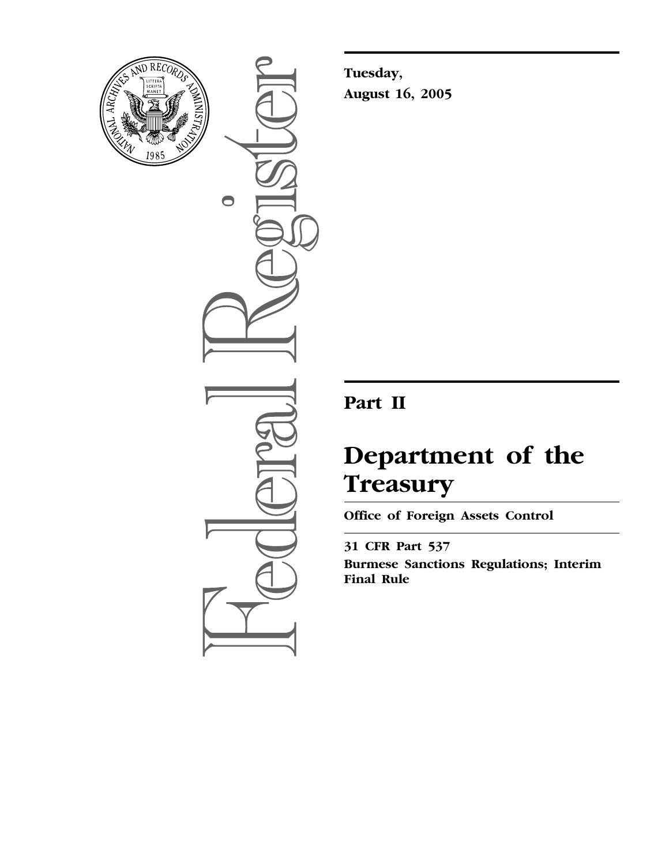

 $\bullet$ 

**Tuesday, August 16, 2005**

## **Part II**

# **Department of the Treasury**

**Office of Foreign Assets Control** 

**31 CFR Part 537 Burmese Sanctions Regulations; Interim Final Rule**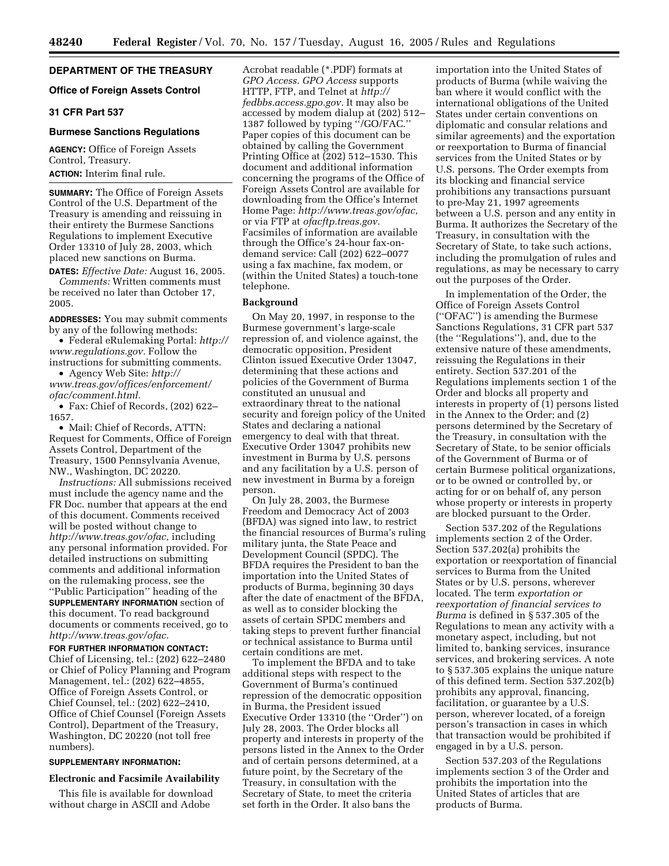#### **DEPARTMENT OF THE TREASURY**

#### **Office of Foreign Assets Control**

#### **31 CFR Part 537**

#### **Burmese Sanctions Regulations**

**AGENCY:** Office of Foreign Assets Control, Treasury. **ACTION:** Interim final rule.

**SUMMARY:** The Office of Foreign Assets Control of the U.S. Department of the Treasury is amending and reissuing in their entirety the Burmese Sanctions Regulations to implement Executive Order 13310 of July 28, 2003, which placed new sanctions on Burma.

**DATES:** *Effective Date:* August 16, 2005. *Comments:* Written comments must be received no later than October 17, 2005.

**ADDRESSES:** You may submit comments by any of the following methods:

• [Federal eRulemaking Portal:](http://www.regulations.gov) *http:// www.regulations.gov.* Follow the instructions for submitting comments.

• Agency Web Site: *http:// [www.treas.gov/offices/enforcement/](http://www.treas.gov/offices/enforcement/ofac/comment.html)*

*ofac/comment.html.*

• Fax: Chief of Records, (202) 622– 1657.

• Mail: Chief of Records, ATTN: Request for Comments, Office of Foreign Assets Control, Department of the Treasury, 1500 Pennsylvania Avenue, NW., Washington, DC 20220.

*Instructions:* All submissions received must include the agency name and the FR Doc. number that appears at the end of this document. Comments received will be posted without change to *[http://www.treas.gov/ofac,](http://www.treas.gov/ofac)* including any personal information provided. For detailed instructions on submitting comments and additional information on the rulemaking process, see the ''Public Participation'' heading of the **SUPPLEMENTARY INFORMATION** section of this document. To read background documents or comments received, go to *[http://www.treas.gov/ofac.](http://www.treas.gov/ofac)*

**FOR FURTHER INFORMATION CONTACT:** Chief of Licensing, tel.: (202) 622–2480 or Chief of Policy Planning and Program Management, tel.: (202) 622–4855, Office of Foreign Assets Control, or Chief Counsel, tel.: (202) 622–2410, Office of Chief Counsel (Foreign Assets Control), Department of the Treasury, Washington, DC 20220 (not toll free numbers).

#### **SUPPLEMENTARY INFORMATION:**

#### **Electronic and Facsimile Availability**

This file is available for download without charge in ASCII and Adobe

Acrobat readable (\*.PDF) formats at *GPO Access. GPO Access* supports [HTTP, FTP, and Telnet at](http://fedbbs.access.gpo.gov) *http:// fedbbs.access.gpo.gov.* It may also be accessed by modem dialup at (202) 512– 1387 followed by typing ''/GO/FAC.'' Paper copies of this document can be obtained by calling the Government Printing Office at (202) 512–1530. This document and additional information concerning the programs of the Office of Foreign Assets Control are available for downloading from the Office's Internet Home Page: *[http://www.treas.gov/ofac,](http://www.treas.gov/ofac)* or via FTP at *ofacftp.treas.gov.* Facsimiles of information are available through the Office's 24-hour fax-ondemand service: Call (202) 622–0077 using a fax machine, fax modem, or (within the United States) a touch-tone telephone.

#### **Background**

On May 20, 1997, in response to the Burmese government's large-scale repression of, and violence against, the democratic opposition, President Clinton issued Executive Order 13047, determining that these actions and policies of the Government of Burma constituted an unusual and extraordinary threat to the national security and foreign policy of the United States and declaring a national emergency to deal with that threat. Executive Order 13047 prohibits new investment in Burma by U.S. persons and any facilitation by a U.S. person of new investment in Burma by a foreign person.

On July 28, 2003, the Burmese Freedom and Democracy Act of 2003 (BFDA) was signed into law, to restrict the financial resources of Burma's ruling military junta, the State Peace and Development Council (SPDC). The BFDA requires the President to ban the importation into the United States of products of Burma, beginning 30 days after the date of enactment of the BFDA, as well as to consider blocking the assets of certain SPDC members and taking steps to prevent further financial or technical assistance to Burma until certain conditions are met.

To implement the BFDA and to take additional steps with respect to the Government of Burma's continued repression of the democratic opposition in Burma, the President issued Executive Order 13310 (the ''Order'') on July 28, 2003. The Order blocks all property and interests in property of the persons listed in the Annex to the Order and of certain persons determined, at a future point, by the Secretary of the Treasury, in consultation with the Secretary of State, to meet the criteria set forth in the Order. It also bans the

importation into the United States of products of Burma (while waiving the ban where it would conflict with the international obligations of the United States under certain conventions on diplomatic and consular relations and similar agreements) and the exportation or reexportation to Burma of financial services from the United States or by U.S. persons. The Order exempts from its blocking and financial service prohibitions any transactions pursuant to pre-May 21, 1997 agreements between a U.S. person and any entity in Burma. It authorizes the Secretary of the Treasury, in consultation with the Secretary of State, to take such actions, including the promulgation of rules and regulations, as may be necessary to carry out the purposes of the Order.

In implementation of the Order, the Office of Foreign Assets Control (''OFAC'') is amending the Burmese Sanctions Regulations, 31 CFR part 537 (the ''Regulations''), and, due to the extensive nature of these amendments, reissuing the Regulations in their entirety. Section 537.201 of the Regulations implements section 1 of the Order and blocks all property and interests in property of (1) persons listed in the Annex to the Order; and (2) persons determined by the Secretary of the Treasury, in consultation with the Secretary of State, to be senior officials of the Government of Burma or of certain Burmese political organizations, or to be owned or controlled by, or acting for or on behalf of, any person whose property or interests in property are blocked pursuant to the Order.

Section 537.202 of the Regulations implements section 2 of the Order. Section 537.202(a) prohibits the exportation or reexportation of financial services to Burma from the United States or by U.S. persons, wherever located. The term *exportation or reexportation of financial services to Burma* is defined in § 537.305 of the Regulations to mean any activity with a monetary aspect, including, but not limited to, banking services, insurance services, and brokering services. A note to § 537.305 explains the unique nature of this defined term. Section 537.202(b) prohibits any approval, financing, facilitation, or guarantee by a U.S. person, wherever located, of a foreign person's transaction in cases in which that transaction would be prohibited if engaged in by a U.S. person.

Section 537.203 of the Regulations implements section 3 of the Order and prohibits the importation into the United States of articles that are products of Burma.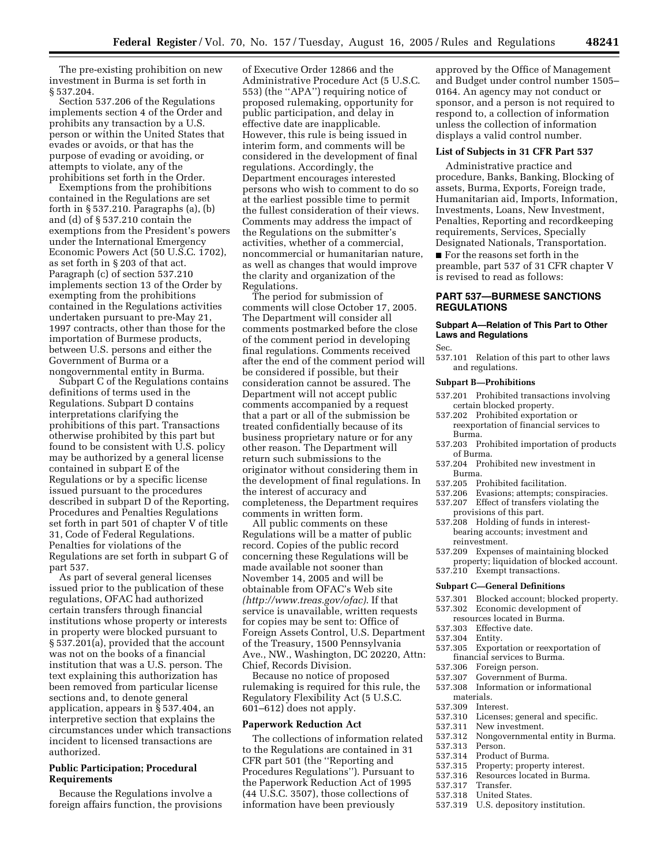The pre-existing prohibition on new investment in Burma is set forth in § 537.204.

Section 537.206 of the Regulations implements section 4 of the Order and prohibits any transaction by a U.S. person or within the United States that evades or avoids, or that has the purpose of evading or avoiding, or attempts to violate, any of the prohibitions set forth in the Order.

Exemptions from the prohibitions contained in the Regulations are set forth in § 537.210. Paragraphs (a), (b) and (d) of § 537.210 contain the exemptions from the President's powers under the International Emergency Economic Powers Act (50 U.S.C. 1702), as set forth in § 203 of that act. Paragraph (c) of section 537.210 implements section 13 of the Order by exempting from the prohibitions contained in the Regulations activities undertaken pursuant to pre-May 21, 1997 contracts, other than those for the importation of Burmese products, between U.S. persons and either the Government of Burma or a nongovernmental entity in Burma.

Subpart C of the Regulations contains definitions of terms used in the Regulations. Subpart D contains interpretations clarifying the prohibitions of this part. Transactions otherwise prohibited by this part but found to be consistent with U.S. policy may be authorized by a general license contained in subpart E of the Regulations or by a specific license issued pursuant to the procedures described in subpart D of the Reporting, Procedures and Penalties Regulations set forth in part 501 of chapter V of title 31, Code of Federal Regulations. Penalties for violations of the Regulations are set forth in subpart G of part 537.

As part of several general licenses issued prior to the publication of these regulations, OFAC had authorized certain transfers through financial institutions whose property or interests in property were blocked pursuant to § 537.201(a), provided that the account was not on the books of a financial institution that was a U.S. person. The text explaining this authorization has been removed from particular license sections and, to denote general application, appears in § 537.404, an interpretive section that explains the circumstances under which transactions incident to licensed transactions are authorized.

#### **Public Participation; Procedural Requirements**

Because the Regulations involve a foreign affairs function, the provisions of Executive Order 12866 and the Administrative Procedure Act (5 U.S.C. 553) (the ''APA'') requiring notice of proposed rulemaking, opportunity for public participation, and delay in effective date are inapplicable. However, this rule is being issued in interim form, and comments will be considered in the development of final regulations. Accordingly, the Department encourages interested persons who wish to comment to do so at the earliest possible time to permit the fullest consideration of their views. Comments may address the impact of the Regulations on the submitter's activities, whether of a commercial, noncommercial or humanitarian nature, as well as changes that would improve the clarity and organization of the Regulations.

The period for submission of comments will close October 17, 2005. The Department will consider all comments postmarked before the close of the comment period in developing final regulations. Comments received after the end of the comment period will be considered if possible, but their consideration cannot be assured. The Department will not accept public comments accompanied by a request that a part or all of the submission be treated confidentially because of its business proprietary nature or for any other reason. The Department will return such submissions to the originator without considering them in the development of final regulations. In the interest of accuracy and completeness, the Department requires comments in written form.

All public comments on these Regulations will be a matter of public record. Copies of the public record concerning these Regulations will be made available not sooner than November 14, 2005 and will be obtainable from OFAC's Web site *[\(http://www.treas.gov/ofac\)](http://www.treas.gov/ofac)*. If that service is unavailable, written requests for copies may be sent to: Office of Foreign Assets Control, U.S. Department of the Treasury, 1500 Pennsylvania Ave., NW., Washington, DC 20220, Attn: Chief, Records Division.

Because no notice of proposed rulemaking is required for this rule, the Regulatory Flexibility Act (5 U.S.C. 601–612) does not apply.

#### **Paperwork Reduction Act**

The collections of information related to the Regulations are contained in 31 CFR part 501 (the ''Reporting and Procedures Regulations''). Pursuant to the Paperwork Reduction Act of 1995 (44 U.S.C. 3507), those collections of information have been previously

approved by the Office of Management and Budget under control number 1505– 0164. An agency may not conduct or sponsor, and a person is not required to respond to, a collection of information unless the collection of information displays a valid control number.

#### **List of Subjects in 31 CFR Part 537**

Administrative practice and procedure, Banks, Banking, Blocking of assets, Burma, Exports, Foreign trade, Humanitarian aid, Imports, Information, Investments, Loans, New Investment, Penalties, Reporting and recordkeeping requirements, Services, Specially Designated Nationals, Transportation.

■ For the reasons set forth in the preamble, part 537 of 31 CFR chapter V is revised to read as follows:

#### **PART 537—BURMESE SANCTIONS REGULATIONS**

#### **Subpart A—Relation of This Part to Other Laws and Regulations**

Sec.

537.101 Relation of this part to other laws and regulations.

#### **Subpart B—Prohibitions**

- 537.201 Prohibited transactions involving certain blocked property.
- 537.202 Prohibited exportation or reexportation of financial services to Burma.
- 537.203 Prohibited importation of products of Burma.
- 537.204 Prohibited new investment in Burma.
- 537.205 Prohibited facilitation.
- 537.206 Evasions; attempts; conspiracies.
- 537.207 Effect of transfers violating the
- provisions of this part. 537.208 Holding of funds in interest-
- bearing accounts; investment and reinvestment.
- 537.209 Expenses of maintaining blocked
- property; liquidation of blocked account. 537.210 Exempt transactions.
- 

#### **Subpart C—General Definitions**

- 537.301 Blocked account; blocked property.
- 537.302 Economic development of
- resources located in Burma.
- 537.303 Effective date.
- Entity.
- 537.305 Exportation or reexportation of
- financial services to Burma.<br>537.306 Foreign person.
- 537.306 Foreign person.<br>537.307 Government of
- 537.307 Government of Burma.<br>537.308 Information or informa Information or informational materials.
- 
- 537.309 Interest. 537.310 Licenses; general and specific.<br>537.311 New investment.
- 
- 537.311 New investment. 537.312 Nongovernmental entity in Burma.
- 
- 537.313 Person.
- 537.314 Product of Burma.<br>537.315 Property; property
- 537.315 Property; property interest.
	- Resources located in Burma.<br>Transfer
- 537.317<br>537.318
- 537.318 United States.<br>537.319 U.S. depositor
- U.S. depository institution.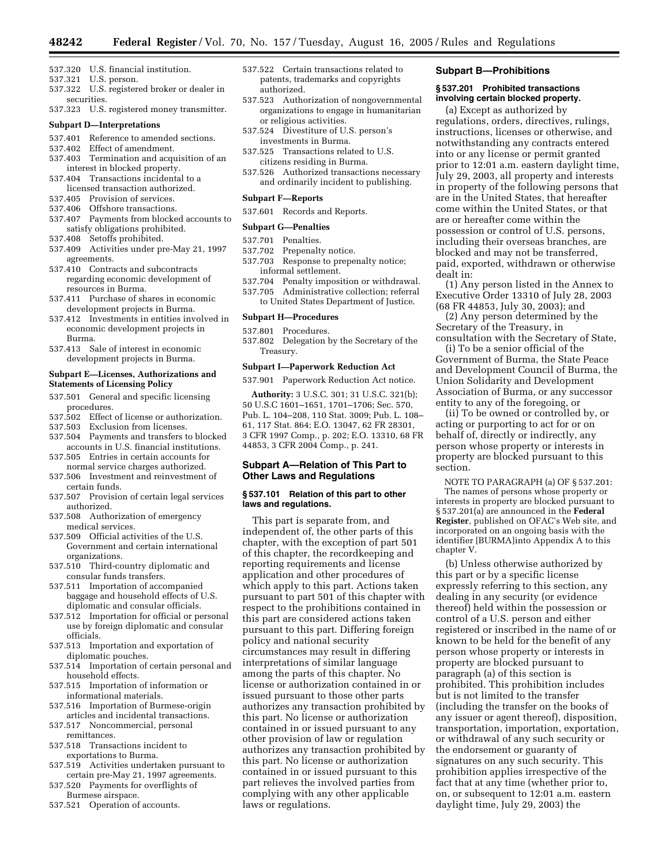- 537.320 U.S. financial institution.
- 537.321 U.S. person.
- 537.322 U.S. registered broker or dealer in securities.
- 537.323 U.S. registered money transmitter.

#### **Subpart D—Interpretations**

- 537.401 Reference to amended sections.
- 537.402 Effect of amendment.
- 537.403 Termination and acquisition of an interest in blocked property.
- 537.404 Transactions incidental to a licensed transaction authorized.
- 537.405 Provision of services.
- 537.406 Offshore transactions.
- 537.407 Payments from blocked accounts to satisfy obligations prohibited.
- 537.408 Setoffs prohibited.
- 537.409 Activities under pre-May 21, 1997 agreements.
- 537.410 Contracts and subcontracts regarding economic development of resources in Burma.
- 537.411 Purchase of shares in economic development projects in Burma.
- 537.412 Investments in entities involved in economic development projects in Burma.
- 537.413 Sale of interest in economic development projects in Burma.

#### **Subpart E—Licenses, Authorizations and Statements of Licensing Policy**

- 537.501 General and specific licensing procedures.
- 537.502 Effect of license or authorization.
- 537.503 Exclusion from licenses.
- 537.504 Payments and transfers to blocked accounts in U.S. financial institutions.
- 537.505 Entries in certain accounts for normal service charges authorized.
- 537.506 Investment and reinvestment of certain funds.
- 537.507 Provision of certain legal services authorized.
- 537.508 Authorization of emergency medical services.
- 537.509 Official activities of the U.S. Government and certain international organizations.
- 537.510 Third-country diplomatic and consular funds transfers.
- 537.511 Importation of accompanied baggage and household effects of U.S. diplomatic and consular officials.
- 537.512 Importation for official or personal use by foreign diplomatic and consular officials.
- 537.513 Importation and exportation of diplomatic pouches.
- 537.514 Importation of certain personal and household effects.
- 537.515 Importation of information or informational materials.
- 537.516 Importation of Burmese-origin articles and incidental transactions.
- 537.517 Noncommercial, personal remittances.
- 537.518 Transactions incident to exportations to Burma.
- 537.519 Activities undertaken pursuant to certain pre-May 21, 1997 agreements.
- 537.520 Payments for overflights of Burmese airspace.
- 537.521 Operation of accounts.
- 537.522 Certain transactions related to patents, trademarks and copyrights authorized.
- 537.523 Authorization of nongovernmental organizations to engage in humanitarian or religious activities.
- 537.524 Divestiture of U.S. person's investments in Burma.
- 537.525 Transactions related to U.S. citizens residing in Burma.
- 537.526 Authorized transactions necessary and ordinarily incident to publishing.

#### **Subpart F—Reports**

#### 537.601 Records and Reports.

#### **Subpart G—Penalties**

- 537.701 Penalties.
- 537.702 Prepenalty notice.
- 537.703 Response to prepenalty notice; informal settlement.
- 537.704 Penalty imposition or withdrawal. 537.705 Administrative collection; referral to United States Department of Justice.

#### **Subpart H—Procedures**

- 537.801 Procedures.
- 537.802 Delegation by the Secretary of the Treasury.

#### **Subpart I—Paperwork Reduction Act**

537.901 Paperwork Reduction Act notice.

**Authority:** 3 U.S.C. 301; 31 U.S.C. 321(b); 50 U.S.C 1601–1651, 1701–1706; Sec. 570, Pub. L. 104–208, 110 Stat. 3009; Pub. L. 108– 61, 117 Stat. 864; E.O. 13047, 62 FR 28301, 3 CFR 1997 Comp., p. 202; E.O. 13310, 68 FR 44853, 3 CFR 2004 Comp., p. 241.

#### **Subpart A—Relation of This Part to Other Laws and Regulations**

#### **§ 537.101 Relation of this part to other laws and regulations.**

This part is separate from, and independent of, the other parts of this chapter, with the exception of part 501 of this chapter, the recordkeeping and reporting requirements and license application and other procedures of which apply to this part. Actions taken pursuant to part 501 of this chapter with respect to the prohibitions contained in this part are considered actions taken pursuant to this part. Differing foreign policy and national security circumstances may result in differing interpretations of similar language among the parts of this chapter. No license or authorization contained in or issued pursuant to those other parts authorizes any transaction prohibited by this part. No license or authorization contained in or issued pursuant to any other provision of law or regulation authorizes any transaction prohibited by this part. No license or authorization contained in or issued pursuant to this part relieves the involved parties from complying with any other applicable laws or regulations.

#### **Subpart B—Prohibitions**

#### **§ 537.201 Prohibited transactions involving certain blocked property.**

(a) Except as authorized by regulations, orders, directives, rulings, instructions, licenses or otherwise, and notwithstanding any contracts entered into or any license or permit granted prior to 12:01 a.m. eastern daylight time, July 29, 2003, all property and interests in property of the following persons that are in the United States, that hereafter come within the United States, or that are or hereafter come within the possession or control of U.S. persons, including their overseas branches, are blocked and may not be transferred, paid, exported, withdrawn or otherwise dealt in:

(1) Any person listed in the Annex to Executive Order 13310 of July 28, 2003 (68 FR 44853, July 30, 2003); and

(2) Any person determined by the Secretary of the Treasury, in consultation with the Secretary of State,

(i) To be a senior official of the Government of Burma, the State Peace and Development Council of Burma, the Union Solidarity and Development Association of Burma, or any successor entity to any of the foregoing, or

(ii) To be owned or controlled by, or acting or purporting to act for or on behalf of, directly or indirectly, any person whose property or interests in property are blocked pursuant to this section.

NOTE TO PARAGRAPH (a) OF § 537.201:

The names of persons whose property or interests in property are blocked pursuant to § 537.201(a) are announced in the **Federal Register**, published on OFAC's Web site, and incorporated on an ongoing basis with the identifier [BURMA]into Appendix A to this chapter V.

(b) Unless otherwise authorized by this part or by a specific license expressly referring to this section, any dealing in any security (or evidence thereof) held within the possession or control of a U.S. person and either registered or inscribed in the name of or known to be held for the benefit of any person whose property or interests in property are blocked pursuant to paragraph (a) of this section is prohibited. This prohibition includes but is not limited to the transfer (including the transfer on the books of any issuer or agent thereof), disposition, transportation, importation, exportation, or withdrawal of any such security or the endorsement or guaranty of signatures on any such security. This prohibition applies irrespective of the fact that at any time (whether prior to, on, or subsequent to 12:01 a.m. eastern daylight time, July 29, 2003) the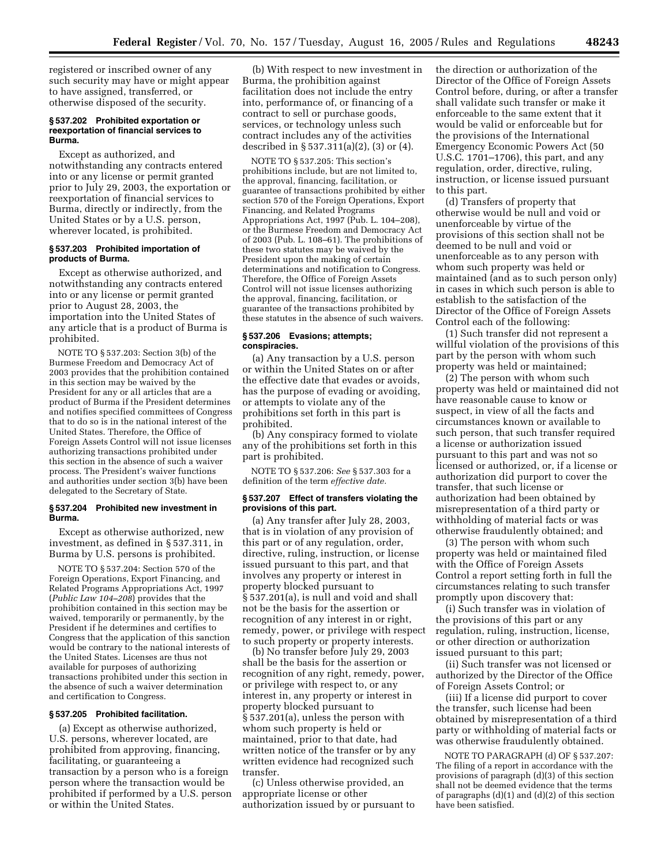registered or inscribed owner of any such security may have or might appear to have assigned, transferred, or otherwise disposed of the security.

#### **§ 537.202 Prohibited exportation or reexportation of financial services to Burma.**

Except as authorized, and notwithstanding any contracts entered into or any license or permit granted prior to July 29, 2003, the exportation or reexportation of financial services to Burma, directly or indirectly, from the United States or by a U.S. person, wherever located, is prohibited.

#### **§ 537.203 Prohibited importation of products of Burma.**

Except as otherwise authorized, and notwithstanding any contracts entered into or any license or permit granted prior to August 28, 2003, the importation into the United States of any article that is a product of Burma is prohibited.

NOTE TO § 537.203: Section 3(b) of the Burmese Freedom and Democracy Act of 2003 provides that the prohibition contained in this section may be waived by the President for any or all articles that are a product of Burma if the President determines and notifies specified committees of Congress that to do so is in the national interest of the United States. Therefore, the Office of Foreign Assets Control will not issue licenses authorizing transactions prohibited under this section in the absence of such a waiver process. The President's waiver functions and authorities under section 3(b) have been delegated to the Secretary of State.

#### **§ 537.204 Prohibited new investment in Burma.**

Except as otherwise authorized, new investment, as defined in § 537.311, in Burma by U.S. persons is prohibited.

NOTE TO § 537.204: Section 570 of the Foreign Operations, Export Financing, and Related Programs Appropriations Act, 1997 (*Public Law 104–208*) provides that the prohibition contained in this section may be waived, temporarily or permanently, by the President if he determines and certifies to Congress that the application of this sanction would be contrary to the national interests of the United States. Licenses are thus not available for purposes of authorizing transactions prohibited under this section in the absence of such a waiver determination and certification to Congress.

#### **§ 537.205 Prohibited facilitation.**

(a) Except as otherwise authorized, U.S. persons, wherever located, are prohibited from approving, financing, facilitating, or guaranteeing a transaction by a person who is a foreign person where the transaction would be prohibited if performed by a U.S. person or within the United States.

(b) With respect to new investment in Burma, the prohibition against facilitation does not include the entry into, performance of, or financing of a contract to sell or purchase goods, services, or technology unless such contract includes any of the activities described in § 537.311(a)(2), (3) or (4).

NOTE TO § 537.205: This section's prohibitions include, but are not limited to, the approval, financing, facilitation, or guarantee of transactions prohibited by either section 570 of the Foreign Operations, Export Financing, and Related Programs Appropriations Act, 1997 (Pub. L. 104–208), or the Burmese Freedom and Democracy Act of 2003 (Pub. L. 108–61). The prohibitions of these two statutes may be waived by the President upon the making of certain determinations and notification to Congress. Therefore, the Office of Foreign Assets Control will not issue licenses authorizing the approval, financing, facilitation, or guarantee of the transactions prohibited by these statutes in the absence of such waivers.

#### **§ 537.206 Evasions; attempts; conspiracies.**

(a) Any transaction by a U.S. person or within the United States on or after the effective date that evades or avoids, has the purpose of evading or avoiding, or attempts to violate any of the prohibitions set forth in this part is prohibited.

(b) Any conspiracy formed to violate any of the prohibitions set forth in this part is prohibited.

NOTE TO § 537.206: *See* § 537.303 for a definition of the term *effective date.*

#### **§ 537.207 Effect of transfers violating the provisions of this part.**

(a) Any transfer after July 28, 2003, that is in violation of any provision of this part or of any regulation, order, directive, ruling, instruction, or license issued pursuant to this part, and that involves any property or interest in property blocked pursuant to § 537.201(a), is null and void and shall not be the basis for the assertion or recognition of any interest in or right, remedy, power, or privilege with respect to such property or property interests.

(b) No transfer before July 29, 2003 shall be the basis for the assertion or recognition of any right, remedy, power, or privilege with respect to, or any interest in, any property or interest in property blocked pursuant to § 537.201(a), unless the person with whom such property is held or maintained, prior to that date, had written notice of the transfer or by any written evidence had recognized such transfer.

(c) Unless otherwise provided, an appropriate license or other authorization issued by or pursuant to the direction or authorization of the Director of the Office of Foreign Assets Control before, during, or after a transfer shall validate such transfer or make it enforceable to the same extent that it would be valid or enforceable but for the provisions of the International Emergency Economic Powers Act (50 U.S.C. 1701–1706), this part, and any regulation, order, directive, ruling, instruction, or license issued pursuant to this part.

(d) Transfers of property that otherwise would be null and void or unenforceable by virtue of the provisions of this section shall not be deemed to be null and void or unenforceable as to any person with whom such property was held or maintained (and as to such person only) in cases in which such person is able to establish to the satisfaction of the Director of the Office of Foreign Assets Control each of the following:

(1) Such transfer did not represent a willful violation of the provisions of this part by the person with whom such property was held or maintained;

(2) The person with whom such property was held or maintained did not have reasonable cause to know or suspect, in view of all the facts and circumstances known or available to such person, that such transfer required a license or authorization issued pursuant to this part and was not so licensed or authorized, or, if a license or authorization did purport to cover the transfer, that such license or authorization had been obtained by misrepresentation of a third party or withholding of material facts or was otherwise fraudulently obtained; and

(3) The person with whom such property was held or maintained filed with the Office of Foreign Assets Control a report setting forth in full the circumstances relating to such transfer promptly upon discovery that:

(i) Such transfer was in violation of the provisions of this part or any regulation, ruling, instruction, license, or other direction or authorization issued pursuant to this part;

(ii) Such transfer was not licensed or authorized by the Director of the Office of Foreign Assets Control; or

(iii) If a license did purport to cover the transfer, such license had been obtained by misrepresentation of a third party or withholding of material facts or was otherwise fraudulently obtained.

NOTE TO PARAGRAPH (d) OF § 537.207: The filing of a report in accordance with the provisions of paragraph (d)(3) of this section shall not be deemed evidence that the terms of paragraphs  $(d)(1)$  and  $(d)(2)$  of this section have been satisfied.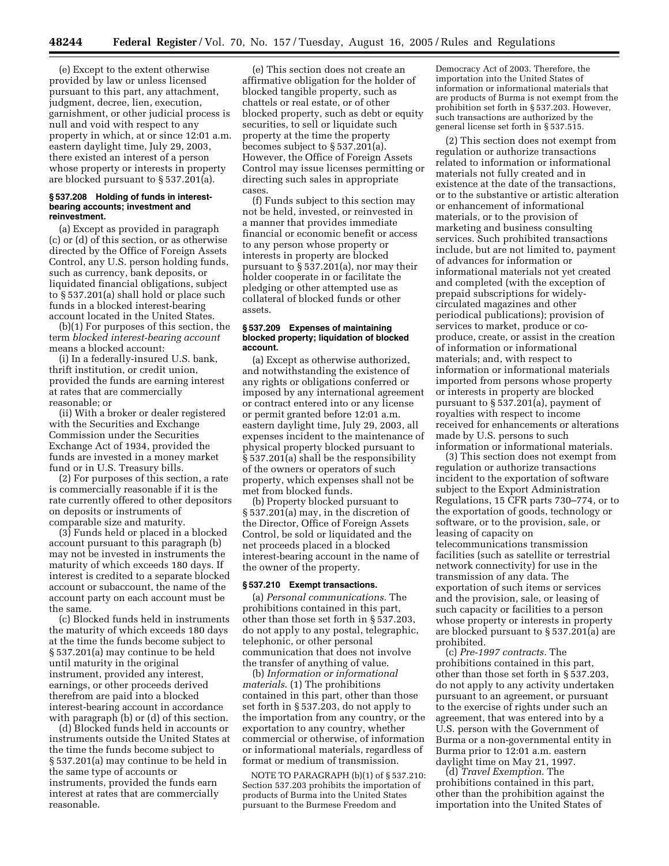(e) Except to the extent otherwise provided by law or unless licensed pursuant to this part, any attachment, judgment, decree, lien, execution, garnishment, or other judicial process is null and void with respect to any property in which, at or since 12:01 a.m. eastern daylight time, July 29, 2003, there existed an interest of a person whose property or interests in property are blocked pursuant to § 537.201(a).

#### **§ 537.208 Holding of funds in interestbearing accounts; investment and reinvestment.**

(a) Except as provided in paragraph (c) or (d) of this section, or as otherwise directed by the Office of Foreign Assets Control, any U.S. person holding funds, such as currency, bank deposits, or liquidated financial obligations, subject to § 537.201(a) shall hold or place such funds in a blocked interest-bearing account located in the United States.

(b)(1) For purposes of this section, the term *blocked interest-bearing account* means a blocked account:

(i) In a federally-insured U.S. bank, thrift institution, or credit union, provided the funds are earning interest at rates that are commercially reasonable; or

(ii) With a broker or dealer registered with the Securities and Exchange Commission under the Securities Exchange Act of 1934, provided the funds are invested in a money market fund or in U.S. Treasury bills.

(2) For purposes of this section, a rate is commercially reasonable if it is the rate currently offered to other depositors on deposits or instruments of comparable size and maturity.

(3) Funds held or placed in a blocked account pursuant to this paragraph (b) may not be invested in instruments the maturity of which exceeds 180 days. If interest is credited to a separate blocked account or subaccount, the name of the account party on each account must be the same.

(c) Blocked funds held in instruments the maturity of which exceeds 180 days at the time the funds become subject to § 537.201(a) may continue to be held until maturity in the original instrument, provided any interest, earnings, or other proceeds derived therefrom are paid into a blocked interest-bearing account in accordance with paragraph (b) or (d) of this section.

(d) Blocked funds held in accounts or instruments outside the United States at the time the funds become subject to § 537.201(a) may continue to be held in the same type of accounts or instruments, provided the funds earn interest at rates that are commercially reasonable.

(e) This section does not create an affirmative obligation for the holder of blocked tangible property, such as chattels or real estate, or of other blocked property, such as debt or equity securities, to sell or liquidate such property at the time the property becomes subject to § 537.201(a). However, the Office of Foreign Assets Control may issue licenses permitting or directing such sales in appropriate cases.

(f) Funds subject to this section may not be held, invested, or reinvested in a manner that provides immediate financial or economic benefit or access to any person whose property or interests in property are blocked pursuant to § 537.201(a), nor may their holder cooperate in or facilitate the pledging or other attempted use as collateral of blocked funds or other assets.

#### **§ 537.209 Expenses of maintaining blocked property; liquidation of blocked account.**

(a) Except as otherwise authorized, and notwithstanding the existence of any rights or obligations conferred or imposed by any international agreement or contract entered into or any license or permit granted before 12:01 a.m. eastern daylight time, July 29, 2003, all expenses incident to the maintenance of physical property blocked pursuant to § 537.201(a) shall be the responsibility of the owners or operators of such property, which expenses shall not be met from blocked funds.

(b) Property blocked pursuant to § 537.201(a) may, in the discretion of the Director, Office of Foreign Assets Control, be sold or liquidated and the net proceeds placed in a blocked interest-bearing account in the name of the owner of the property.

#### **§ 537.210 Exempt transactions.**

(a) *Personal communications*. The prohibitions contained in this part, other than those set forth in § 537.203, do not apply to any postal, telegraphic, telephonic, or other personal communication that does not involve the transfer of anything of value.

(b) *Information or informational materials*. (1) The prohibitions contained in this part, other than those set forth in § 537.203, do not apply to the importation from any country, or the exportation to any country, whether commercial or otherwise, of information or informational materials, regardless of format or medium of transmission.

NOTE TO PARAGRAPH (b)(1) of § 537.210: Section 537.203 prohibits the importation of products of Burma into the United States pursuant to the Burmese Freedom and

Democracy Act of 2003. Therefore, the importation into the United States of information or informational materials that are products of Burma is not exempt from the prohibition set forth in § 537.203. However, such transactions are authorized by the general license set forth in § 537.515.

(2) This section does not exempt from regulation or authorize transactions related to information or informational materials not fully created and in existence at the date of the transactions, or to the substantive or artistic alteration or enhancement of informational materials, or to the provision of marketing and business consulting services. Such prohibited transactions include, but are not limited to, payment of advances for information or informational materials not yet created and completed (with the exception of prepaid subscriptions for widelycirculated magazines and other periodical publications); provision of services to market, produce or coproduce, create, or assist in the creation of information or informational materials; and, with respect to information or informational materials imported from persons whose property or interests in property are blocked pursuant to § 537.201(a), payment of royalties with respect to income received for enhancements or alterations made by U.S. persons to such information or informational materials.

(3) This section does not exempt from regulation or authorize transactions incident to the exportation of software subject to the Export Administration Regulations, 15 CFR parts 730–774, or to the exportation of goods, technology or software, or to the provision, sale, or leasing of capacity on telecommunications transmission facilities (such as satellite or terrestrial network connectivity) for use in the transmission of any data. The exportation of such items or services and the provision, sale, or leasing of such capacity or facilities to a person whose property or interests in property are blocked pursuant to § 537.201(a) are prohibited.

(c) *Pre-1997 contracts.* The prohibitions contained in this part, other than those set forth in § 537.203, do not apply to any activity undertaken pursuant to an agreement, or pursuant to the exercise of rights under such an agreement, that was entered into by a U.S. person with the Government of Burma or a non-governmental entity in Burma prior to 12:01 a.m. eastern daylight time on May 21, 1997.

(d) *Travel Exemption.* The prohibitions contained in this part, other than the prohibition against the importation into the United States of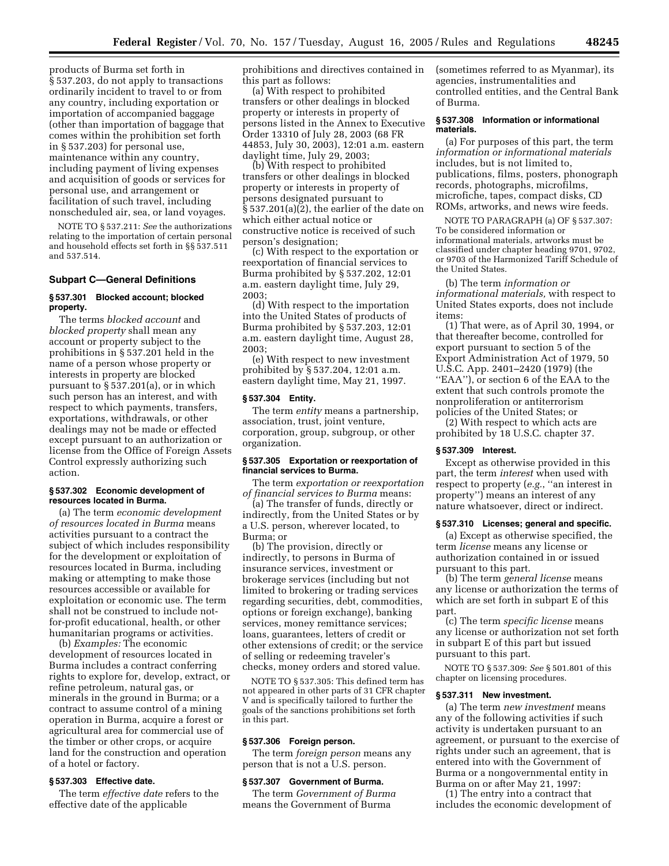products of Burma set forth in § 537.203, do not apply to transactions ordinarily incident to travel to or from any country, including exportation or importation of accompanied baggage (other than importation of baggage that comes within the prohibition set forth in § 537.203) for personal use, maintenance within any country, including payment of living expenses and acquisition of goods or services for personal use, and arrangement or facilitation of such travel, including nonscheduled air, sea, or land voyages.

NOTE TO § 537.211: *See* the authorizations relating to the importation of certain personal and household effects set forth in §§ 537.511 and 537.514.

#### **Subpart C—General Definitions**

#### **§ 537.301 Blocked account; blocked property.**

The terms *blocked account* and *blocked property* shall mean any account or property subject to the prohibitions in § 537.201 held in the name of a person whose property or interests in property are blocked pursuant to § 537.201(a), or in which such person has an interest, and with respect to which payments, transfers, exportations, withdrawals, or other dealings may not be made or effected except pursuant to an authorization or license from the Office of Foreign Assets Control expressly authorizing such action.

#### **§ 537.302 Economic development of resources located in Burma.**

(a) The term *economic development of resources located in Burma* means activities pursuant to a contract the subject of which includes responsibility for the development or exploitation of resources located in Burma, including making or attempting to make those resources accessible or available for exploitation or economic use. The term shall not be construed to include notfor-profit educational, health, or other humanitarian programs or activities.

(b) *Examples:* The economic development of resources located in Burma includes a contract conferring rights to explore for, develop, extract, or refine petroleum, natural gas, or minerals in the ground in Burma; or a contract to assume control of a mining operation in Burma, acquire a forest or agricultural area for commercial use of the timber or other crops, or acquire land for the construction and operation of a hotel or factory.

#### **§ 537.303 Effective date.**

The term *effective date* refers to the effective date of the applicable

prohibitions and directives contained in this part as follows:

(a) With respect to prohibited transfers or other dealings in blocked property or interests in property of persons listed in the Annex to Executive Order 13310 of July 28, 2003 (68 FR 44853, July 30, 2003), 12:01 a.m. eastern daylight time, July 29, 2003;

(b) With respect to prohibited transfers or other dealings in blocked property or interests in property of persons designated pursuant to § 537.201(a)(2), the earlier of the date on which either actual notice or constructive notice is received of such person's designation;

(c) With respect to the exportation or reexportation of financial services to Burma prohibited by § 537.202, 12:01 a.m. eastern daylight time, July 29, 2003;

(d) With respect to the importation into the United States of products of Burma prohibited by § 537.203, 12:01 a.m. eastern daylight time, August 28, 2003;

(e) With respect to new investment prohibited by § 537.204, 12:01 a.m. eastern daylight time, May 21, 1997.

#### **§ 537.304 Entity.**

The term *entity* means a partnership, association, trust, joint venture, corporation, group, subgroup, or other organization.

#### **§ 537.305 Exportation or reexportation of financial services to Burma.**

The term *exportation or reexportation of financial services to Burma* means:

(a) The transfer of funds, directly or indirectly, from the United States or by a U.S. person, wherever located, to Burma; or

(b) The provision, directly or indirectly, to persons in Burma of insurance services, investment or brokerage services (including but not limited to brokering or trading services regarding securities, debt, commodities, options or foreign exchange), banking services, money remittance services; loans, guarantees, letters of credit or other extensions of credit; or the service of selling or redeeming traveler's checks, money orders and stored value.

NOTE TO § 537.305: This defined term has not appeared in other parts of 31 CFR chapter V and is specifically tailored to further the goals of the sanctions prohibitions set forth in this part.

#### **§ 537.306 Foreign person.**

The term *foreign person* means any person that is not a U.S. person.

#### **§ 537.307 Government of Burma.**

The term *Government of Burma* means the Government of Burma

(sometimes referred to as Myanmar), its agencies, instrumentalities and controlled entities, and the Central Bank of Burma.

#### **§ 537.308 Information or informational materials.**

(a) For purposes of this part, the term *information or informational materials* includes, but is not limited to, publications, films, posters, phonograph records, photographs, microfilms, microfiche, tapes, compact disks, CD ROMs, artworks, and news wire feeds.

NOTE TO PARAGRAPH (a) OF § 537.307: To be considered information or informational materials, artworks must be classified under chapter heading 9701, 9702, or 9703 of the Harmonized Tariff Schedule of the United States.

(b) The term *information or informational materials,* with respect to United States exports, does not include items:

(1) That were, as of April 30, 1994, or that thereafter become, controlled for export pursuant to section 5 of the Export Administration Act of 1979, 50 U.S.C. App. 2401–2420 (1979) (the ''EAA''), or section 6 of the EAA to the extent that such controls promote the nonproliferation or antiterrorism policies of the United States; or

(2) With respect to which acts are prohibited by 18 U.S.C. chapter 37.

#### **§ 537.309 Interest.**

Except as otherwise provided in this part, the term *interest* when used with respect to property (*e.g.*, ''an interest in property'') means an interest of any nature whatsoever, direct or indirect.

#### **§ 537.310 Licenses; general and specific.**

(a) Except as otherwise specified, the term *license* means any license or authorization contained in or issued pursuant to this part.

(b) The term *general license* means any license or authorization the terms of which are set forth in subpart E of this part.

(c) The term *specific license* means any license or authorization not set forth in subpart E of this part but issued pursuant to this part.

NOTE TO § 537.309: *See* § 501.801 of this chapter on licensing procedures.

#### **§ 537.311 New investment.**

(a) The term *new investment* means any of the following activities if such activity is undertaken pursuant to an agreement, or pursuant to the exercise of rights under such an agreement, that is entered into with the Government of Burma or a nongovernmental entity in Burma on or after May 21, 1997:

(1) The entry into a contract that includes the economic development of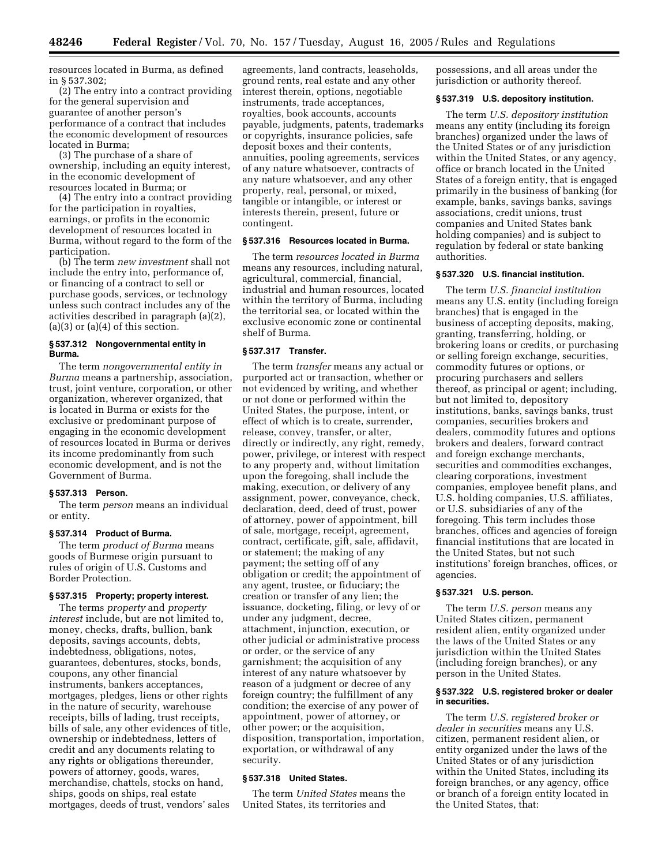resources located in Burma, as defined in § 537.302;

(2) The entry into a contract providing for the general supervision and guarantee of another person's performance of a contract that includes the economic development of resources located in Burma;

(3) The purchase of a share of ownership, including an equity interest, in the economic development of resources located in Burma; or

(4) The entry into a contract providing for the participation in royalties, earnings, or profits in the economic development of resources located in Burma, without regard to the form of the participation.

(b) The term *new investment* shall not include the entry into, performance of, or financing of a contract to sell or purchase goods, services, or technology unless such contract includes any of the activities described in paragraph (a)(2),  $(a)(3)$  or  $(a)(4)$  of this section.

#### **§ 537.312 Nongovernmental entity in Burma.**

The term *nongovernmental entity in Burma* means a partnership, association, trust, joint venture, corporation, or other organization, wherever organized, that is located in Burma or exists for the exclusive or predominant purpose of engaging in the economic development of resources located in Burma or derives its income predominantly from such economic development, and is not the Government of Burma.

#### **§ 537.313 Person.**

The term *person* means an individual or entity.

#### **§ 537.314 Product of Burma.**

The term *product of Burma* means goods of Burmese origin pursuant to rules of origin of U.S. Customs and Border Protection.

#### **§ 537.315 Property; property interest.**

The terms *property* and *property interest* include, but are not limited to, money, checks, drafts, bullion, bank deposits, savings accounts, debts, indebtedness, obligations, notes, guarantees, debentures, stocks, bonds, coupons, any other financial instruments, bankers acceptances, mortgages, pledges, liens or other rights in the nature of security, warehouse receipts, bills of lading, trust receipts, bills of sale, any other evidences of title, ownership or indebtedness, letters of credit and any documents relating to any rights or obligations thereunder, powers of attorney, goods, wares, merchandise, chattels, stocks on hand, ships, goods on ships, real estate mortgages, deeds of trust, vendors' sales

agreements, land contracts, leaseholds, ground rents, real estate and any other interest therein, options, negotiable instruments, trade acceptances, royalties, book accounts, accounts payable, judgments, patents, trademarks or copyrights, insurance policies, safe deposit boxes and their contents, annuities, pooling agreements, services of any nature whatsoever, contracts of any nature whatsoever, and any other property, real, personal, or mixed, tangible or intangible, or interest or interests therein, present, future or contingent.

#### **§ 537.316 Resources located in Burma.**

The term *resources located in Burma* means any resources, including natural, agricultural, commercial, financial, industrial and human resources, located within the territory of Burma, including the territorial sea, or located within the exclusive economic zone or continental shelf of Burma.

#### **§ 537.317 Transfer.**

The term *transfer* means any actual or purported act or transaction, whether or not evidenced by writing, and whether or not done or performed within the United States, the purpose, intent, or effect of which is to create, surrender, release, convey, transfer, or alter, directly or indirectly, any right, remedy, power, privilege, or interest with respect to any property and, without limitation upon the foregoing, shall include the making, execution, or delivery of any assignment, power, conveyance, check, declaration, deed, deed of trust, power of attorney, power of appointment, bill of sale, mortgage, receipt, agreement, contract, certificate, gift, sale, affidavit, or statement; the making of any payment; the setting off of any obligation or credit; the appointment of any agent, trustee, or fiduciary; the creation or transfer of any lien; the issuance, docketing, filing, or levy of or under any judgment, decree, attachment, injunction, execution, or other judicial or administrative process or order, or the service of any garnishment; the acquisition of any interest of any nature whatsoever by reason of a judgment or decree of any foreign country; the fulfillment of any condition; the exercise of any power of appointment, power of attorney, or other power; or the acquisition, disposition, transportation, importation, exportation, or withdrawal of any security.

#### **§ 537.318 United States.**

The term *United States* means the United States, its territories and

possessions, and all areas under the jurisdiction or authority thereof.

#### **§ 537.319 U.S. depository institution.**

The term *U.S. depository institution* means any entity (including its foreign branches) organized under the laws of the United States or of any jurisdiction within the United States, or any agency, office or branch located in the United States of a foreign entity, that is engaged primarily in the business of banking (for example, banks, savings banks, savings associations, credit unions, trust companies and United States bank holding companies) and is subject to regulation by federal or state banking authorities.

#### **§ 537.320 U.S. financial institution.**

The term *U.S. financial institution* means any U.S. entity (including foreign branches) that is engaged in the business of accepting deposits, making, granting, transferring, holding, or brokering loans or credits, or purchasing or selling foreign exchange, securities, commodity futures or options, or procuring purchasers and sellers thereof, as principal or agent; including, but not limited to, depository institutions, banks, savings banks, trust companies, securities brokers and dealers, commodity futures and options brokers and dealers, forward contract and foreign exchange merchants, securities and commodities exchanges, clearing corporations, investment companies, employee benefit plans, and U.S. holding companies, U.S. affiliates, or U.S. subsidiaries of any of the foregoing. This term includes those branches, offices and agencies of foreign financial institutions that are located in the United States, but not such institutions' foreign branches, offices, or agencies.

#### **§ 537.321 U.S. person.**

The term *U.S. person* means any United States citizen, permanent resident alien, entity organized under the laws of the United States or any jurisdiction within the United States (including foreign branches), or any person in the United States.

#### **§ 537.322 U.S. registered broker or dealer in securities.**

The term *U.S. registered broker or dealer in securities* means any U.S. citizen, permanent resident alien, or entity organized under the laws of the United States or of any jurisdiction within the United States, including its foreign branches, or any agency, office or branch of a foreign entity located in the United States, that: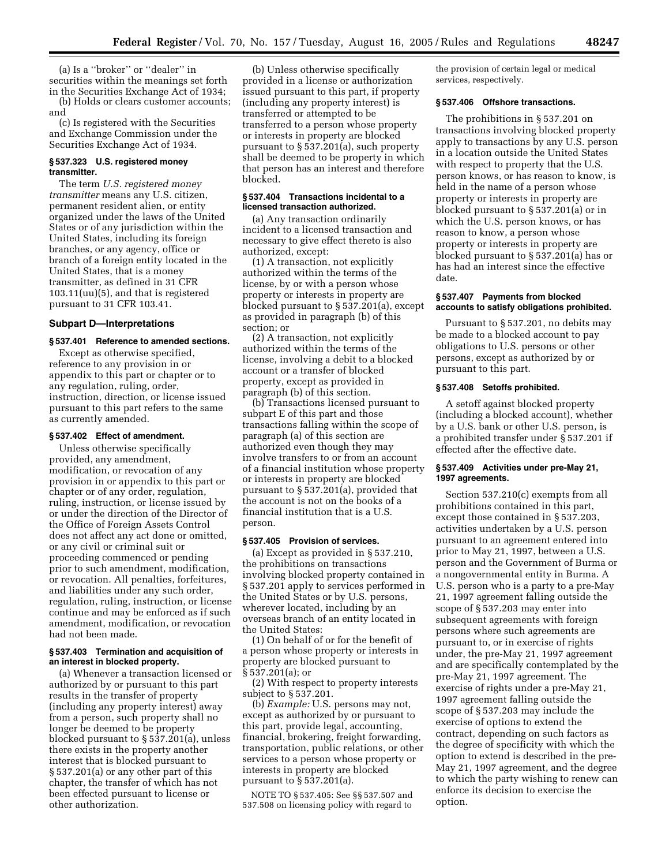(a) Is a ''broker'' or ''dealer'' in securities within the meanings set forth in the Securities Exchange Act of 1934;

(b) Holds or clears customer accounts; and

(c) Is registered with the Securities and Exchange Commission under the Securities Exchange Act of 1934.

#### **§ 537.323 U.S. registered money transmitter.**

The term *U.S. registered money transmitter* means any U.S. citizen, permanent resident alien, or entity organized under the laws of the United States or of any jurisdiction within the United States, including its foreign branches, or any agency, office or branch of a foreign entity located in the United States, that is a money transmitter, as defined in 31 CFR 103.11(uu)(5), and that is registered pursuant to 31 CFR 103.41.

#### **Subpart D—Interpretations**

#### **§ 537.401 Reference to amended sections.**

Except as otherwise specified, reference to any provision in or appendix to this part or chapter or to any regulation, ruling, order, instruction, direction, or license issued pursuant to this part refers to the same as currently amended.

#### **§ 537.402 Effect of amendment.**

Unless otherwise specifically provided, any amendment, modification, or revocation of any provision in or appendix to this part or chapter or of any order, regulation, ruling, instruction, or license issued by or under the direction of the Director of the Office of Foreign Assets Control does not affect any act done or omitted, or any civil or criminal suit or proceeding commenced or pending prior to such amendment, modification, or revocation. All penalties, forfeitures, and liabilities under any such order, regulation, ruling, instruction, or license continue and may be enforced as if such amendment, modification, or revocation had not been made.

#### **§ 537.403 Termination and acquisition of an interest in blocked property.**

(a) Whenever a transaction licensed or authorized by or pursuant to this part results in the transfer of property (including any property interest) away from a person, such property shall no longer be deemed to be property blocked pursuant to § 537.201(a), unless there exists in the property another interest that is blocked pursuant to § 537.201(a) or any other part of this chapter, the transfer of which has not been effected pursuant to license or other authorization.

(b) Unless otherwise specifically provided in a license or authorization issued pursuant to this part, if property (including any property interest) is transferred or attempted to be transferred to a person whose property or interests in property are blocked pursuant to § 537.201(a), such property shall be deemed to be property in which that person has an interest and therefore blocked.

#### **§ 537.404 Transactions incidental to a licensed transaction authorized.**

(a) Any transaction ordinarily incident to a licensed transaction and necessary to give effect thereto is also authorized, except:

(1) A transaction, not explicitly authorized within the terms of the license, by or with a person whose property or interests in property are blocked pursuant to § 537.201(a), except as provided in paragraph (b) of this section; or

(2) A transaction, not explicitly authorized within the terms of the license, involving a debit to a blocked account or a transfer of blocked property, except as provided in paragraph (b) of this section.

(b) Transactions licensed pursuant to subpart E of this part and those transactions falling within the scope of paragraph (a) of this section are authorized even though they may involve transfers to or from an account of a financial institution whose property or interests in property are blocked pursuant to § 537.201(a), provided that the account is not on the books of a financial institution that is a U.S. person.

#### **§ 537.405 Provision of services.**

(a) Except as provided in § 537.210, the prohibitions on transactions involving blocked property contained in § 537.201 apply to services performed in the United States or by U.S. persons, wherever located, including by an overseas branch of an entity located in the United States:

(1) On behalf of or for the benefit of a person whose property or interests in property are blocked pursuant to § 537.201(a); or

(2) With respect to property interests subject to § 537.201.

(b) *Example:* U.S. persons may not, except as authorized by or pursuant to this part, provide legal, accounting, financial, brokering, freight forwarding, transportation, public relations, or other services to a person whose property or interests in property are blocked pursuant to § 537.201(a).

NOTE TO § 537.405: See §§ 537.507 and 537.508 on licensing policy with regard to

the provision of certain legal or medical services, respectively.

#### **§ 537.406 Offshore transactions.**

The prohibitions in § 537.201 on transactions involving blocked property apply to transactions by any U.S. person in a location outside the United States with respect to property that the U.S. person knows, or has reason to know, is held in the name of a person whose property or interests in property are blocked pursuant to § 537.201(a) or in which the U.S. person knows, or has reason to know, a person whose property or interests in property are blocked pursuant to § 537.201(a) has or has had an interest since the effective date.

#### **§ 537.407 Payments from blocked accounts to satisfy obligations prohibited.**

Pursuant to § 537.201, no debits may be made to a blocked account to pay obligations to U.S. persons or other persons, except as authorized by or pursuant to this part.

#### **§ 537.408 Setoffs prohibited.**

A setoff against blocked property (including a blocked account), whether by a U.S. bank or other U.S. person, is a prohibited transfer under § 537.201 if effected after the effective date.

#### **§ 537.409 Activities under pre-May 21, 1997 agreements.**

Section 537.210(c) exempts from all prohibitions contained in this part, except those contained in § 537.203, activities undertaken by a U.S. person pursuant to an agreement entered into prior to May 21, 1997, between a U.S. person and the Government of Burma or a nongovernmental entity in Burma. A U.S. person who is a party to a pre-May 21, 1997 agreement falling outside the scope of § 537.203 may enter into subsequent agreements with foreign persons where such agreements are pursuant to, or in exercise of rights under, the pre-May 21, 1997 agreement and are specifically contemplated by the pre-May 21, 1997 agreement. The exercise of rights under a pre-May 21, 1997 agreement falling outside the scope of § 537.203 may include the exercise of options to extend the contract, depending on such factors as the degree of specificity with which the option to extend is described in the pre-May 21, 1997 agreement, and the degree to which the party wishing to renew can enforce its decision to exercise the option.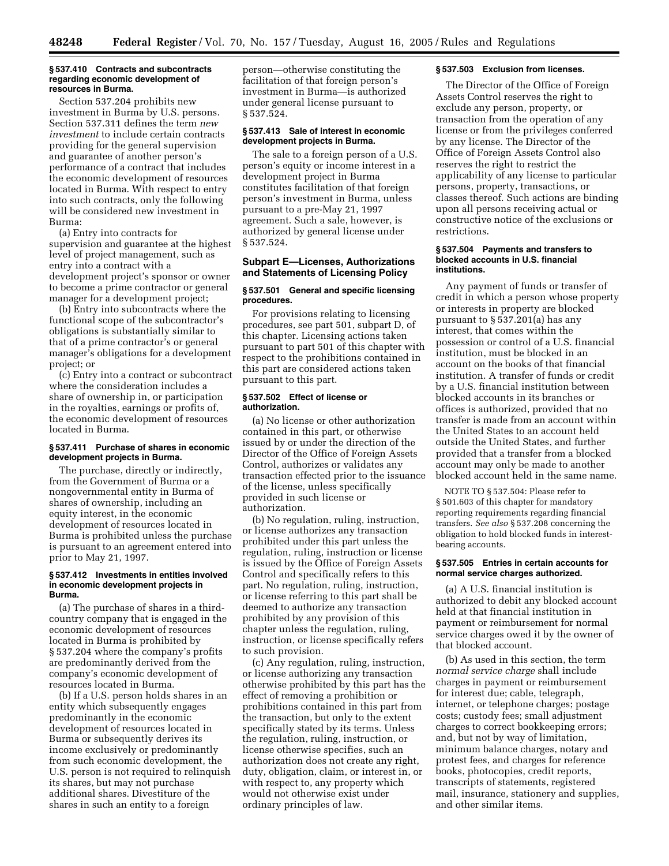#### **§ 537.410 Contracts and subcontracts regarding economic development of resources in Burma.**

Section 537.204 prohibits new investment in Burma by U.S. persons. Section 537.311 defines the term *new investment* to include certain contracts providing for the general supervision and guarantee of another person's performance of a contract that includes the economic development of resources located in Burma. With respect to entry into such contracts, only the following will be considered new investment in Burma:

(a) Entry into contracts for supervision and guarantee at the highest level of project management, such as entry into a contract with a development project's sponsor or owner to become a prime contractor or general manager for a development project;

(b) Entry into subcontracts where the functional scope of the subcontractor's obligations is substantially similar to that of a prime contractor's or general manager's obligations for a development project; or

(c) Entry into a contract or subcontract where the consideration includes a share of ownership in, or participation in the royalties, earnings or profits of, the economic development of resources located in Burma.

#### **§ 537.411 Purchase of shares in economic development projects in Burma.**

The purchase, directly or indirectly, from the Government of Burma or a nongovernmental entity in Burma of shares of ownership, including an equity interest, in the economic development of resources located in Burma is prohibited unless the purchase is pursuant to an agreement entered into prior to May 21, 1997.

#### **§ 537.412 Investments in entities involved in economic development projects in Burma.**

(a) The purchase of shares in a thirdcountry company that is engaged in the economic development of resources located in Burma is prohibited by § 537.204 where the company's profits are predominantly derived from the company's economic development of resources located in Burma.

(b) If a U.S. person holds shares in an entity which subsequently engages predominantly in the economic development of resources located in Burma or subsequently derives its income exclusively or predominantly from such economic development, the U.S. person is not required to relinquish its shares, but may not purchase additional shares. Divestiture of the shares in such an entity to a foreign

person—otherwise constituting the facilitation of that foreign person's investment in Burma—is authorized under general license pursuant to § 537.524.

#### **§ 537.413 Sale of interest in economic development projects in Burma.**

The sale to a foreign person of a U.S. person's equity or income interest in a development project in Burma constitutes facilitation of that foreign person's investment in Burma, unless pursuant to a pre-May 21, 1997 agreement. Such a sale, however, is authorized by general license under § 537.524.

#### **Subpart E—Licenses, Authorizations and Statements of Licensing Policy**

#### **§ 537.501 General and specific licensing procedures.**

For provisions relating to licensing procedures, see part 501, subpart D, of this chapter. Licensing actions taken pursuant to part 501 of this chapter with respect to the prohibitions contained in this part are considered actions taken pursuant to this part.

#### **§ 537.502 Effect of license or authorization.**

(a) No license or other authorization contained in this part, or otherwise issued by or under the direction of the Director of the Office of Foreign Assets Control, authorizes or validates any transaction effected prior to the issuance of the license, unless specifically provided in such license or authorization.

(b) No regulation, ruling, instruction, or license authorizes any transaction prohibited under this part unless the regulation, ruling, instruction or license is issued by the Office of Foreign Assets Control and specifically refers to this part. No regulation, ruling, instruction, or license referring to this part shall be deemed to authorize any transaction prohibited by any provision of this chapter unless the regulation, ruling, instruction, or license specifically refers to such provision.

(c) Any regulation, ruling, instruction, or license authorizing any transaction otherwise prohibited by this part has the effect of removing a prohibition or prohibitions contained in this part from the transaction, but only to the extent specifically stated by its terms. Unless the regulation, ruling, instruction, or license otherwise specifies, such an authorization does not create any right, duty, obligation, claim, or interest in, or with respect to, any property which would not otherwise exist under ordinary principles of law.

#### **§ 537.503 Exclusion from licenses.**

The Director of the Office of Foreign Assets Control reserves the right to exclude any person, property, or transaction from the operation of any license or from the privileges conferred by any license. The Director of the Office of Foreign Assets Control also reserves the right to restrict the applicability of any license to particular persons, property, transactions, or classes thereof. Such actions are binding upon all persons receiving actual or constructive notice of the exclusions or restrictions.

#### **§ 537.504 Payments and transfers to blocked accounts in U.S. financial institutions.**

Any payment of funds or transfer of credit in which a person whose property or interests in property are blocked pursuant to § 537.201(a) has any interest, that comes within the possession or control of a U.S. financial institution, must be blocked in an account on the books of that financial institution. A transfer of funds or credit by a U.S. financial institution between blocked accounts in its branches or offices is authorized, provided that no transfer is made from an account within the United States to an account held outside the United States, and further provided that a transfer from a blocked account may only be made to another blocked account held in the same name.

NOTE TO § 537.504: Please refer to § 501.603 of this chapter for mandatory reporting requirements regarding financial transfers. *See also* § 537.208 concerning the obligation to hold blocked funds in interestbearing accounts.

#### **§ 537.505 Entries in certain accounts for normal service charges authorized.**

(a) A U.S. financial institution is authorized to debit any blocked account held at that financial institution in payment or reimbursement for normal service charges owed it by the owner of that blocked account.

(b) As used in this section, the term *normal service charge* shall include charges in payment or reimbursement for interest due; cable, telegraph, internet, or telephone charges; postage costs; custody fees; small adjustment charges to correct bookkeeping errors; and, but not by way of limitation, minimum balance charges, notary and protest fees, and charges for reference books, photocopies, credit reports, transcripts of statements, registered mail, insurance, stationery and supplies, and other similar items.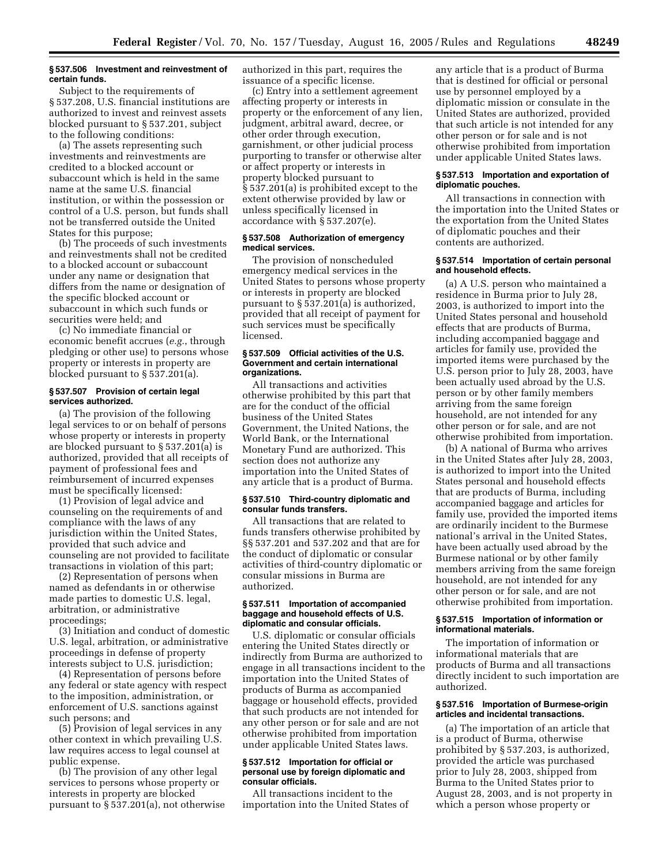#### **§ 537.506 Investment and reinvestment of certain funds.**

Subject to the requirements of § 537.208, U.S. financial institutions are authorized to invest and reinvest assets blocked pursuant to § 537.201, subject to the following conditions:

(a) The assets representing such investments and reinvestments are credited to a blocked account or subaccount which is held in the same name at the same U.S. financial institution, or within the possession or control of a U.S. person, but funds shall not be transferred outside the United States for this purpose;

(b) The proceeds of such investments and reinvestments shall not be credited to a blocked account or subaccount under any name or designation that differs from the name or designation of the specific blocked account or subaccount in which such funds or securities were held; and

(c) No immediate financial or economic benefit accrues (*e.g.*, through pledging or other use) to persons whose property or interests in property are blocked pursuant to § 537.201(a).

#### **§ 537.507 Provision of certain legal services authorized.**

(a) The provision of the following legal services to or on behalf of persons whose property or interests in property are blocked pursuant to § 537.201(a) is authorized, provided that all receipts of payment of professional fees and reimbursement of incurred expenses must be specifically licensed:

(1) Provision of legal advice and counseling on the requirements of and compliance with the laws of any jurisdiction within the United States, provided that such advice and counseling are not provided to facilitate transactions in violation of this part;

(2) Representation of persons when named as defendants in or otherwise made parties to domestic U.S. legal, arbitration, or administrative proceedings;

(3) Initiation and conduct of domestic U.S. legal, arbitration, or administrative proceedings in defense of property interests subject to U.S. jurisdiction;

(4) Representation of persons before any federal or state agency with respect to the imposition, administration, or enforcement of U.S. sanctions against such persons; and

(5) Provision of legal services in any other context in which prevailing U.S. law requires access to legal counsel at public expense.

(b) The provision of any other legal services to persons whose property or interests in property are blocked pursuant to § 537.201(a), not otherwise authorized in this part, requires the issuance of a specific license.

(c) Entry into a settlement agreement affecting property or interests in property or the enforcement of any lien, judgment, arbitral award, decree, or other order through execution, garnishment, or other judicial process purporting to transfer or otherwise alter or affect property or interests in property blocked pursuant to § 537.201(a) is prohibited except to the extent otherwise provided by law or unless specifically licensed in accordance with § 537.207(e).

#### **§ 537.508 Authorization of emergency medical services.**

The provision of nonscheduled emergency medical services in the United States to persons whose property or interests in property are blocked pursuant to § 537.201(a) is authorized, provided that all receipt of payment for such services must be specifically licensed.

#### **§ 537.509 Official activities of the U.S. Government and certain international organizations.**

All transactions and activities otherwise prohibited by this part that are for the conduct of the official business of the United States Government, the United Nations, the World Bank, or the International Monetary Fund are authorized. This section does not authorize any importation into the United States of any article that is a product of Burma.

#### **§ 537.510 Third-country diplomatic and consular funds transfers.**

All transactions that are related to funds transfers otherwise prohibited by §§ 537.201 and 537.202 and that are for the conduct of diplomatic or consular activities of third-country diplomatic or consular missions in Burma are authorized.

#### **§ 537.511 Importation of accompanied baggage and household effects of U.S. diplomatic and consular officials.**

U.S. diplomatic or consular officials entering the United States directly or indirectly from Burma are authorized to engage in all transactions incident to the importation into the United States of products of Burma as accompanied baggage or household effects, provided that such products are not intended for any other person or for sale and are not otherwise prohibited from importation under applicable United States laws.

#### **§ 537.512 Importation for official or personal use by foreign diplomatic and consular officials.**

All transactions incident to the importation into the United States of any article that is a product of Burma that is destined for official or personal use by personnel employed by a diplomatic mission or consulate in the United States are authorized, provided that such article is not intended for any other person or for sale and is not otherwise prohibited from importation under applicable United States laws.

#### **§ 537.513 Importation and exportation of diplomatic pouches.**

All transactions in connection with the importation into the United States or the exportation from the United States of diplomatic pouches and their contents are authorized.

#### **§ 537.514 Importation of certain personal and household effects.**

(a) A U.S. person who maintained a residence in Burma prior to July 28, 2003, is authorized to import into the United States personal and household effects that are products of Burma, including accompanied baggage and articles for family use, provided the imported items were purchased by the U.S. person prior to July 28, 2003, have been actually used abroad by the U.S. person or by other family members arriving from the same foreign household, are not intended for any other person or for sale, and are not otherwise prohibited from importation.

(b) A national of Burma who arrives in the United States after July 28, 2003, is authorized to import into the United States personal and household effects that are products of Burma, including accompanied baggage and articles for family use, provided the imported items are ordinarily incident to the Burmese national's arrival in the United States, have been actually used abroad by the Burmese national or by other family members arriving from the same foreign household, are not intended for any other person or for sale, and are not otherwise prohibited from importation.

#### **§ 537.515 Importation of information or informational materials.**

The importation of information or informational materials that are products of Burma and all transactions directly incident to such importation are authorized.

#### **§ 537.516 Importation of Burmese-origin articles and incidental transactions.**

(a) The importation of an article that is a product of Burma, otherwise prohibited by § 537.203, is authorized, provided the article was purchased prior to July 28, 2003, shipped from Burma to the United States prior to August 28, 2003, and is not property in which a person whose property or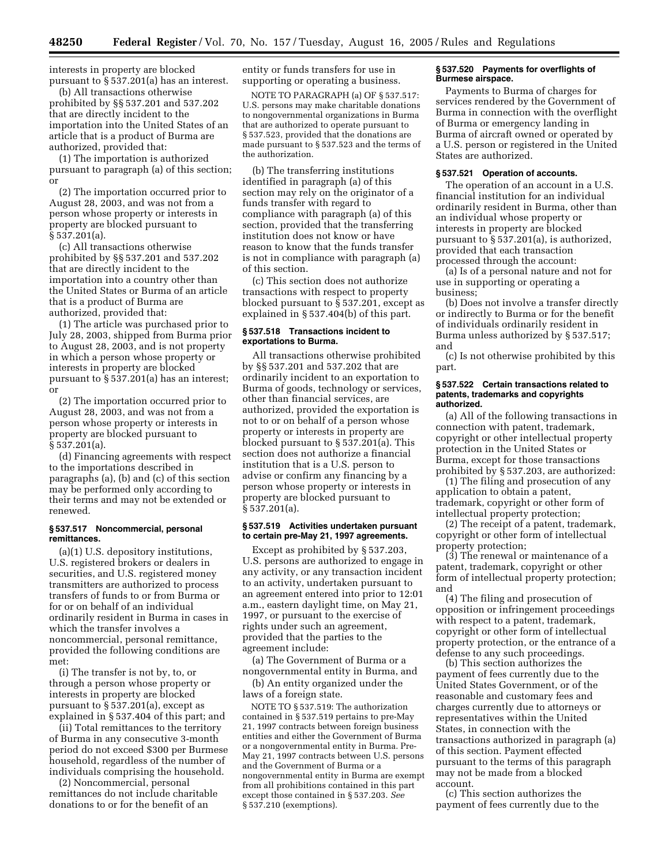interests in property are blocked pursuant to § 537.201(a) has an interest.

(b) All transactions otherwise prohibited by §§ 537.201 and 537.202 that are directly incident to the importation into the United States of an article that is a product of Burma are authorized, provided that:

(1) The importation is authorized pursuant to paragraph (a) of this section; or

(2) The importation occurred prior to August 28, 2003, and was not from a person whose property or interests in property are blocked pursuant to § 537.201(a).

(c) All transactions otherwise prohibited by §§ 537.201 and 537.202 that are directly incident to the importation into a country other than the United States or Burma of an article that is a product of Burma are authorized, provided that:

(1) The article was purchased prior to July 28, 2003, shipped from Burma prior to August 28, 2003, and is not property in which a person whose property or interests in property are blocked pursuant to § 537.201(a) has an interest; or

(2) The importation occurred prior to August 28, 2003, and was not from a person whose property or interests in property are blocked pursuant to § 537.201(a).

(d) Financing agreements with respect to the importations described in paragraphs (a), (b) and (c) of this section may be performed only according to their terms and may not be extended or renewed.

#### **§ 537.517 Noncommercial, personal remittances.**

(a)(1) U.S. depository institutions, U.S. registered brokers or dealers in securities, and U.S. registered money transmitters are authorized to process transfers of funds to or from Burma or for or on behalf of an individual ordinarily resident in Burma in cases in which the transfer involves a noncommercial, personal remittance, provided the following conditions are met:

(i) The transfer is not by, to, or through a person whose property or interests in property are blocked pursuant to § 537.201(a), except as explained in § 537.404 of this part; and

(ii) Total remittances to the territory of Burma in any consecutive 3-month period do not exceed \$300 per Burmese household, regardless of the number of individuals comprising the household.

(2) Noncommercial, personal remittances do not include charitable donations to or for the benefit of an

entity or funds transfers for use in supporting or operating a business.

NOTE TO PARAGRAPH (a) OF § 537.517: U.S. persons may make charitable donations to nongovernmental organizations in Burma that are authorized to operate pursuant to § 537.523, provided that the donations are made pursuant to § 537.523 and the terms of the authorization.

(b) The transferring institutions identified in paragraph (a) of this section may rely on the originator of a funds transfer with regard to compliance with paragraph (a) of this section, provided that the transferring institution does not know or have reason to know that the funds transfer is not in compliance with paragraph (a) of this section.

(c) This section does not authorize transactions with respect to property blocked pursuant to § 537.201, except as explained in § 537.404(b) of this part.

#### **§ 537.518 Transactions incident to exportations to Burma.**

All transactions otherwise prohibited by §§ 537.201 and 537.202 that are ordinarily incident to an exportation to Burma of goods, technology or services, other than financial services, are authorized, provided the exportation is not to or on behalf of a person whose property or interests in property are blocked pursuant to § 537.201(a). This section does not authorize a financial institution that is a U.S. person to advise or confirm any financing by a person whose property or interests in property are blocked pursuant to § 537.201(a).

#### **§ 537.519 Activities undertaken pursuant to certain pre-May 21, 1997 agreements.**

Except as prohibited by § 537.203, U.S. persons are authorized to engage in any activity, or any transaction incident to an activity, undertaken pursuant to an agreement entered into prior to 12:01 a.m., eastern daylight time, on May 21, 1997, or pursuant to the exercise of rights under such an agreement, provided that the parties to the agreement include:

(a) The Government of Burma or a nongovernmental entity in Burma, and

(b) An entity organized under the laws of a foreign state.

NOTE TO § 537.519: The authorization contained in § 537.519 pertains to pre-May 21, 1997 contracts between foreign business entities and either the Government of Burma or a nongovernmental entity in Burma. Pre-May 21, 1997 contracts between U.S. persons and the Government of Burma or a nongovernmental entity in Burma are exempt from all prohibitions contained in this part except those contained in § 537.203. *See* § 537.210 (exemptions).

#### **§ 537.520 Payments for overflights of Burmese airspace.**

Payments to Burma of charges for services rendered by the Government of Burma in connection with the overflight of Burma or emergency landing in Burma of aircraft owned or operated by a U.S. person or registered in the United States are authorized.

#### **§ 537.521 Operation of accounts.**

The operation of an account in a U.S. financial institution for an individual ordinarily resident in Burma, other than an individual whose property or interests in property are blocked pursuant to § 537.201(a), is authorized, provided that each transaction processed through the account:

(a) Is of a personal nature and not for use in supporting or operating a business;

(b) Does not involve a transfer directly or indirectly to Burma or for the benefit of individuals ordinarily resident in Burma unless authorized by § 537.517; and

(c) Is not otherwise prohibited by this part.

#### **§ 537.522 Certain transactions related to patents, trademarks and copyrights authorized.**

(a) All of the following transactions in connection with patent, trademark, copyright or other intellectual property protection in the United States or Burma, except for those transactions prohibited by § 537.203, are authorized:

(1) The filing and prosecution of any application to obtain a patent, trademark, copyright or other form of intellectual property protection;

(2) The receipt of a patent, trademark, copyright or other form of intellectual property protection;

(3) The renewal or maintenance of a patent, trademark, copyright or other form of intellectual property protection; and

(4) The filing and prosecution of opposition or infringement proceedings with respect to a patent, trademark, copyright or other form of intellectual property protection, or the entrance of a defense to any such proceedings.

(b) This section authorizes the payment of fees currently due to the United States Government, or of the reasonable and customary fees and charges currently due to attorneys or representatives within the United States, in connection with the transactions authorized in paragraph (a) of this section. Payment effected pursuant to the terms of this paragraph may not be made from a blocked account.

(c) This section authorizes the payment of fees currently due to the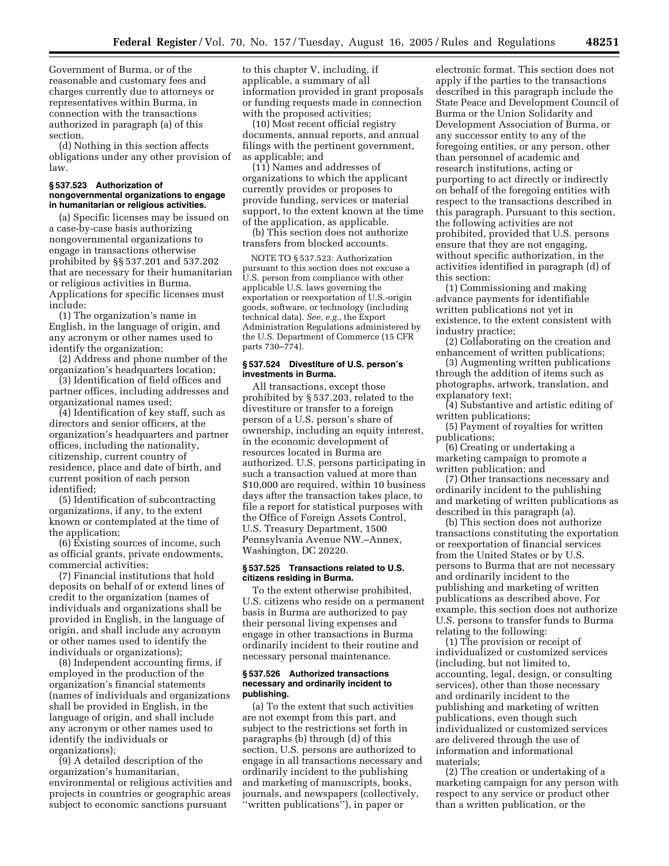Government of Burma, or of the reasonable and customary fees and charges currently due to attorneys or representatives within Burma, in connection with the transactions authorized in paragraph (a) of this section.

(d) Nothing in this section affects obligations under any other provision of law.

#### **§ 537.523 Authorization of nongovernmental organizations to engage in humanitarian or religious activities.**

(a) Specific licenses may be issued on a case-by-case basis authorizing nongovernmental organizations to engage in transactions otherwise prohibited by §§ 537.201 and 537.202 that are necessary for their humanitarian or religious activities in Burma. Applications for specific licenses must include:

(1) The organization's name in English, in the language of origin, and any acronym or other names used to identify the organization;

(2) Address and phone number of the organization's headquarters location;

(3) Identification of field offices and partner offices, including addresses and organizational names used;

(4) Identification of key staff, such as directors and senior officers, at the organization's headquarters and partner offices, including the nationality, citizenship, current country of residence, place and date of birth, and current position of each person identified;

(5) Identification of subcontracting organizations, if any, to the extent known or contemplated at the time of the application;

(6) Existing sources of income, such as official grants, private endowments, commercial activities;

(7) Financial institutions that hold deposits on behalf of or extend lines of credit to the organization (names of individuals and organizations shall be provided in English, in the language of origin, and shall include any acronym or other names used to identify the individuals or organizations);

(8) Independent accounting firms, if employed in the production of the organization's financial statements (names of individuals and organizations shall be provided in English, in the language of origin, and shall include any acronym or other names used to identify the individuals or organizations);

(9) A detailed description of the organization's humanitarian, environmental or religious activities and projects in countries or geographic areas subject to economic sanctions pursuant

to this chapter V, including, if applicable, a summary of all information provided in grant proposals or funding requests made in connection with the proposed activities;

(10) Most recent official registry documents, annual reports, and annual filings with the pertinent government, as applicable; and

(11) Names and addresses of organizations to which the applicant currently provides or proposes to provide funding, services or material support, to the extent known at the time of the application, as applicable.

(b) This section does not authorize transfers from blocked accounts.

NOTE TO § 537.523: Authorization pursuant to this section does not excuse a U.S. person from compliance with other applicable U.S. laws governing the exportation or reexportation of U.S.-origin goods, software, or technology (including technical data). *See, e.g.*, the Export Administration Regulations administered by the U.S. Department of Commerce (15 CFR parts 730–774).

#### **§ 537.524 Divestiture of U.S. person's investments in Burma.**

All transactions, except those prohibited by § 537.203, related to the divestiture or transfer to a foreign person of a U.S. person's share of ownership, including an equity interest, in the economic development of resources located in Burma are authorized. U.S. persons participating in such a transaction valued at more than \$10,000 are required, within 10 business days after the transaction takes place, to file a report for statistical purposes with the Office of Foreign Assets Control, U.S. Treasury Department, 1500 Pennsylvania Avenue NW.–Annex, Washington, DC 20220.

#### **§ 537.525 Transactions related to U.S. citizens residing in Burma.**

To the extent otherwise prohibited, U.S. citizens who reside on a permanent basis in Burma are authorized to pay their personal living expenses and engage in other transactions in Burma ordinarily incident to their routine and necessary personal maintenance.

#### **§ 537.526 Authorized transactions necessary and ordinarily incident to publishing.**

(a) To the extent that such activities are not exempt from this part, and subject to the restrictions set forth in paragraphs (b) through (d) of this section, U.S. persons are authorized to engage in all transactions necessary and ordinarily incident to the publishing and marketing of manuscripts, books, journals, and newspapers (collectively, ''written publications''), in paper or

electronic format. This section does not apply if the parties to the transactions described in this paragraph include the State Peace and Development Council of Burma or the Union Solidarity and Development Association of Burma, or any successor entity to any of the foregoing entities, or any person, other than personnel of academic and research institutions, acting or purporting to act directly or indirectly on behalf of the foregoing entities with respect to the transactions described in this paragraph. Pursuant to this section, the following activities are not prohibited, provided that U.S. persons ensure that they are not engaging, without specific authorization, in the activities identified in paragraph (d) of this section:

(1) Commissioning and making advance payments for identifiable written publications not yet in existence, to the extent consistent with industry practice;

(2) Collaborating on the creation and enhancement of written publications;

(3) Augmenting written publications through the addition of items such as photographs, artwork, translation, and explanatory text;

(4) Substantive and artistic editing of written publications;

(5) Payment of royalties for written publications;

(6) Creating or undertaking a marketing campaign to promote a written publication; and

(7) Other transactions necessary and ordinarily incident to the publishing and marketing of written publications as described in this paragraph (a).

(b) This section does not authorize transactions constituting the exportation or reexportation of financial services from the United States or by U.S. persons to Burma that are not necessary and ordinarily incident to the publishing and marketing of written publications as described above. For example, this section does not authorize U.S. persons to transfer funds to Burma relating to the following:

(1) The provision or receipt of individualized or customized services (including, but not limited to, accounting, legal, design, or consulting services), other than those necessary and ordinarily incident to the publishing and marketing of written publications, even though such individualized or customized services are delivered through the use of information and informational materials;

(2) The creation or undertaking of a marketing campaign for any person with respect to any service or product other than a written publication, or the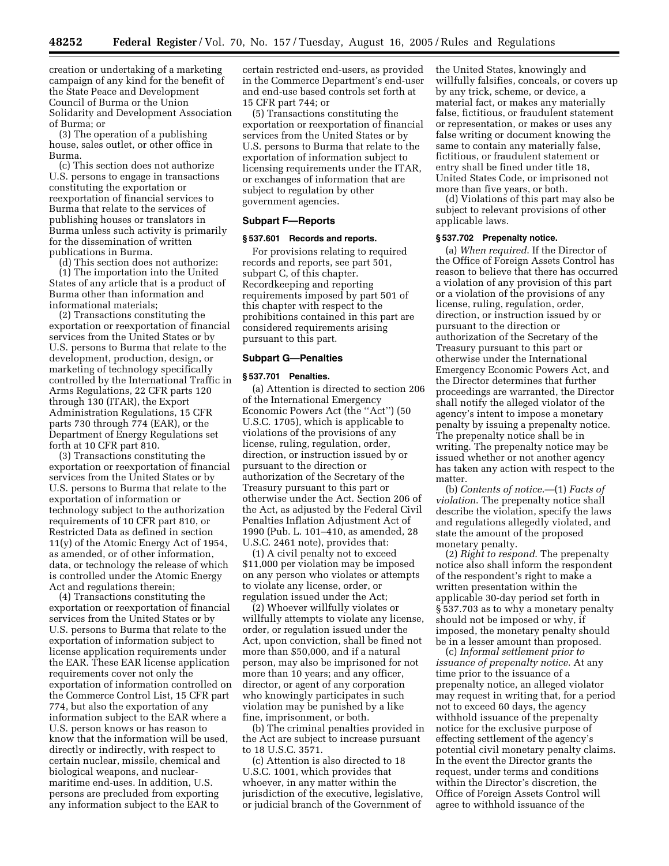creation or undertaking of a marketing campaign of any kind for the benefit of the State Peace and Development Council of Burma or the Union Solidarity and Development Association of Burma; or

(3) The operation of a publishing house, sales outlet, or other office in Burma.

(c) This section does not authorize U.S. persons to engage in transactions constituting the exportation or reexportation of financial services to Burma that relate to the services of publishing houses or translators in Burma unless such activity is primarily for the dissemination of written publications in Burma.

(d) This section does not authorize: (1) The importation into the United States of any article that is a product of Burma other than information and informational materials;

(2) Transactions constituting the exportation or reexportation of financial services from the United States or by U.S. persons to Burma that relate to the development, production, design, or marketing of technology specifically controlled by the International Traffic in Arms Regulations, 22 CFR parts 120 through 130 (ITAR), the Export Administration Regulations, 15 CFR parts 730 through 774 (EAR), or the Department of Energy Regulations set forth at 10 CFR part 810.

(3) Transactions constituting the exportation or reexportation of financial services from the United States or by U.S. persons to Burma that relate to the exportation of information or technology subject to the authorization requirements of 10 CFR part 810, or Restricted Data as defined in section 11(y) of the Atomic Energy Act of 1954, as amended, or of other information, data, or technology the release of which is controlled under the Atomic Energy Act and regulations therein;

(4) Transactions constituting the exportation or reexportation of financial services from the United States or by U.S. persons to Burma that relate to the exportation of information subject to license application requirements under the EAR. These EAR license application requirements cover not only the exportation of information controlled on the Commerce Control List, 15 CFR part 774, but also the exportation of any information subject to the EAR where a U.S. person knows or has reason to know that the information will be used, directly or indirectly, with respect to certain nuclear, missile, chemical and biological weapons, and nuclearmaritime end-uses. In addition, U.S. persons are precluded from exporting any information subject to the EAR to

certain restricted end-users, as provided in the Commerce Department's end-user and end-use based controls set forth at 15 CFR part 744; or

(5) Transactions constituting the exportation or reexportation of financial services from the United States or by U.S. persons to Burma that relate to the exportation of information subject to licensing requirements under the ITAR, or exchanges of information that are subject to regulation by other government agencies.

#### **Subpart F—Reports**

#### **§ 537.601 Records and reports.**

For provisions relating to required records and reports, see part 501, subpart C, of this chapter. Recordkeeping and reporting requirements imposed by part 501 of this chapter with respect to the prohibitions contained in this part are considered requirements arising pursuant to this part.

#### **Subpart G—Penalties**

#### **§ 537.701 Penalties.**

(a) Attention is directed to section 206 of the International Emergency Economic Powers Act (the ''Act'') (50 U.S.C. 1705), which is applicable to violations of the provisions of any license, ruling, regulation, order, direction, or instruction issued by or pursuant to the direction or authorization of the Secretary of the Treasury pursuant to this part or otherwise under the Act. Section 206 of the Act, as adjusted by the Federal Civil Penalties Inflation Adjustment Act of 1990 (Pub. L. 101–410, as amended, 28 U.S.C. 2461 note), provides that:

(1) A civil penalty not to exceed \$11,000 per violation may be imposed on any person who violates or attempts to violate any license, order, or regulation issued under the Act;

(2) Whoever willfully violates or willfully attempts to violate any license, order, or regulation issued under the Act, upon conviction, shall be fined not more than \$50,000, and if a natural person, may also be imprisoned for not more than 10 years; and any officer, director, or agent of any corporation who knowingly participates in such violation may be punished by a like fine, imprisonment, or both.

(b) The criminal penalties provided in the Act are subject to increase pursuant to 18 U.S.C. 3571.

(c) Attention is also directed to 18 U.S.C. 1001, which provides that whoever, in any matter within the jurisdiction of the executive, legislative, or judicial branch of the Government of the United States, knowingly and willfully falsifies, conceals, or covers up by any trick, scheme, or device, a material fact, or makes any materially false, fictitious, or fraudulent statement or representation, or makes or uses any false writing or document knowing the same to contain any materially false, fictitious, or fraudulent statement or entry shall be fined under title 18, United States Code, or imprisoned not more than five years, or both.

(d) Violations of this part may also be subject to relevant provisions of other applicable laws.

#### **§ 537.702 Prepenalty notice.**

(a) *When required*. If the Director of the Office of Foreign Assets Control has reason to believe that there has occurred a violation of any provision of this part or a violation of the provisions of any license, ruling, regulation, order, direction, or instruction issued by or pursuant to the direction or authorization of the Secretary of the Treasury pursuant to this part or otherwise under the International Emergency Economic Powers Act, and the Director determines that further proceedings are warranted, the Director shall notify the alleged violator of the agency's intent to impose a monetary penalty by issuing a prepenalty notice. The prepenalty notice shall be in writing. The prepenalty notice may be issued whether or not another agency has taken any action with respect to the matter.

(b) *Contents of notice*.—(1) *Facts of violation*. The prepenalty notice shall describe the violation, specify the laws and regulations allegedly violated, and state the amount of the proposed monetary penalty.

(2) *Right to respond*. The prepenalty notice also shall inform the respondent of the respondent's right to make a written presentation within the applicable 30-day period set forth in § 537.703 as to why a monetary penalty should not be imposed or why, if imposed, the monetary penalty should be in a lesser amount than proposed.

(c) *Informal settlement prior to issuance of prepenalty notice.* At any time prior to the issuance of a prepenalty notice, an alleged violator may request in writing that, for a period not to exceed 60 days, the agency withhold issuance of the prepenalty notice for the exclusive purpose of effecting settlement of the agency's potential civil monetary penalty claims. In the event the Director grants the request, under terms and conditions within the Director's discretion, the Office of Foreign Assets Control will agree to withhold issuance of the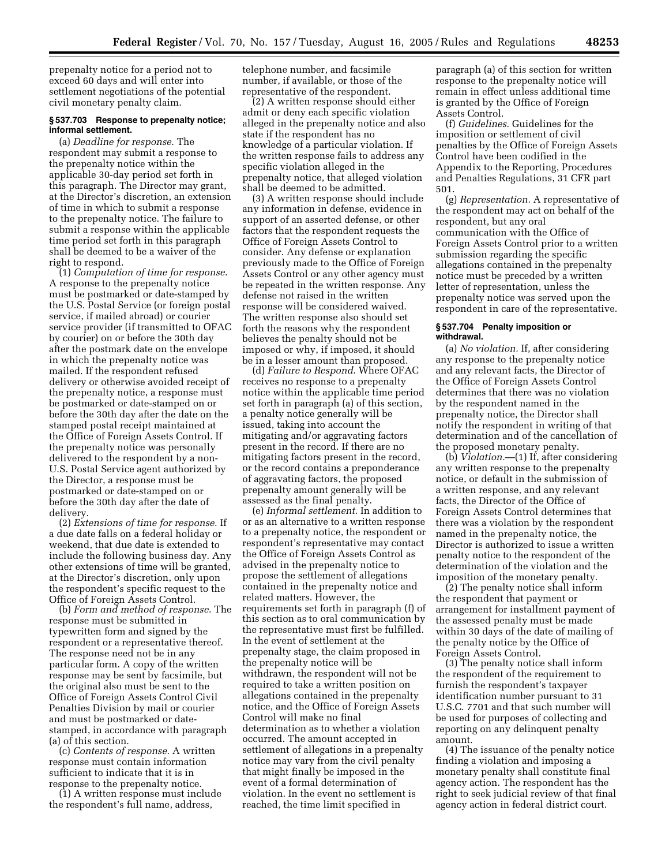prepenalty notice for a period not to exceed 60 days and will enter into settlement negotiations of the potential civil monetary penalty claim.

#### **§ 537.703 Response to prepenalty notice; informal settlement.**

(a) *Deadline for response*. The respondent may submit a response to the prepenalty notice within the applicable 30-day period set forth in this paragraph. The Director may grant, at the Director's discretion, an extension of time in which to submit a response to the prepenalty notice. The failure to submit a response within the applicable time period set forth in this paragraph shall be deemed to be a waiver of the right to respond.

(1) *Computation of time for response*. A response to the prepenalty notice must be postmarked or date-stamped by the U.S. Postal Service (or foreign postal service, if mailed abroad) or courier service provider (if transmitted to OFAC by courier) on or before the 30th day after the postmark date on the envelope in which the prepenalty notice was mailed. If the respondent refused delivery or otherwise avoided receipt of the prepenalty notice, a response must be postmarked or date-stamped on or before the 30th day after the date on the stamped postal receipt maintained at the Office of Foreign Assets Control. If the prepenalty notice was personally delivered to the respondent by a non-U.S. Postal Service agent authorized by the Director, a response must be postmarked or date-stamped on or before the 30th day after the date of delivery.

(2) *Extensions of time for response*. If a due date falls on a federal holiday or weekend, that due date is extended to include the following business day. Any other extensions of time will be granted, at the Director's discretion, only upon the respondent's specific request to the Office of Foreign Assets Control.

(b) *Form and method of response*. The response must be submitted in typewritten form and signed by the respondent or a representative thereof. The response need not be in any particular form. A copy of the written response may be sent by facsimile, but the original also must be sent to the Office of Foreign Assets Control Civil Penalties Division by mail or courier and must be postmarked or datestamped, in accordance with paragraph (a) of this section.

(c) *Contents of response*. A written response must contain information sufficient to indicate that it is in response to the prepenalty notice.

(1) A written response must include the respondent's full name, address,

telephone number, and facsimile number, if available, or those of the representative of the respondent.

(2) A written response should either admit or deny each specific violation alleged in the prepenalty notice and also state if the respondent has no knowledge of a particular violation. If the written response fails to address any specific violation alleged in the prepenalty notice, that alleged violation shall be deemed to be admitted.

(3) A written response should include any information in defense, evidence in support of an asserted defense, or other factors that the respondent requests the Office of Foreign Assets Control to consider. Any defense or explanation previously made to the Office of Foreign Assets Control or any other agency must be repeated in the written response. Any defense not raised in the written response will be considered waived. The written response also should set forth the reasons why the respondent believes the penalty should not be imposed or why, if imposed, it should be in a lesser amount than proposed.

(d) *Failure to Respond*. Where OFAC receives no response to a prepenalty notice within the applicable time period set forth in paragraph (a) of this section, a penalty notice generally will be issued, taking into account the mitigating and/or aggravating factors present in the record. If there are no mitigating factors present in the record, or the record contains a preponderance of aggravating factors, the proposed prepenalty amount generally will be assessed as the final penalty.

(e) *Informal settlement*. In addition to or as an alternative to a written response to a prepenalty notice, the respondent or respondent's representative may contact the Office of Foreign Assets Control as advised in the prepenalty notice to propose the settlement of allegations contained in the prepenalty notice and related matters. However, the requirements set forth in paragraph (f) of this section as to oral communication by the representative must first be fulfilled. In the event of settlement at the prepenalty stage, the claim proposed in the prepenalty notice will be withdrawn, the respondent will not be required to take a written position on allegations contained in the prepenalty notice, and the Office of Foreign Assets Control will make no final determination as to whether a violation occurred. The amount accepted in settlement of allegations in a prepenalty notice may vary from the civil penalty that might finally be imposed in the event of a formal determination of violation. In the event no settlement is reached, the time limit specified in

paragraph (a) of this section for written response to the prepenalty notice will remain in effect unless additional time is granted by the Office of Foreign Assets Control.

(f) *Guidelines*. Guidelines for the imposition or settlement of civil penalties by the Office of Foreign Assets Control have been codified in the Appendix to the Reporting, Procedures and Penalties Regulations, 31 CFR part 501.

(g) *Representation.* A representative of the respondent may act on behalf of the respondent, but any oral communication with the Office of Foreign Assets Control prior to a written submission regarding the specific allegations contained in the prepenalty notice must be preceded by a written letter of representation, unless the prepenalty notice was served upon the respondent in care of the representative.

#### **§ 537.704 Penalty imposition or withdrawal.**

(a) *No violation.* If, after considering any response to the prepenalty notice and any relevant facts, the Director of the Office of Foreign Assets Control determines that there was no violation by the respondent named in the prepenalty notice, the Director shall notify the respondent in writing of that determination and of the cancellation of the proposed monetary penalty.

(b) *Violation.*—(1) If, after considering any written response to the prepenalty notice, or default in the submission of a written response, and any relevant facts, the Director of the Office of Foreign Assets Control determines that there was a violation by the respondent named in the prepenalty notice, the Director is authorized to issue a written penalty notice to the respondent of the determination of the violation and the imposition of the monetary penalty.

(2) The penalty notice shall inform the respondent that payment or arrangement for installment payment of the assessed penalty must be made within 30 days of the date of mailing of the penalty notice by the Office of Foreign Assets Control.

(3) The penalty notice shall inform the respondent of the requirement to furnish the respondent's taxpayer identification number pursuant to 31 U.S.C. 7701 and that such number will be used for purposes of collecting and reporting on any delinquent penalty amount.

(4) The issuance of the penalty notice finding a violation and imposing a monetary penalty shall constitute final agency action. The respondent has the right to seek judicial review of that final agency action in federal district court.